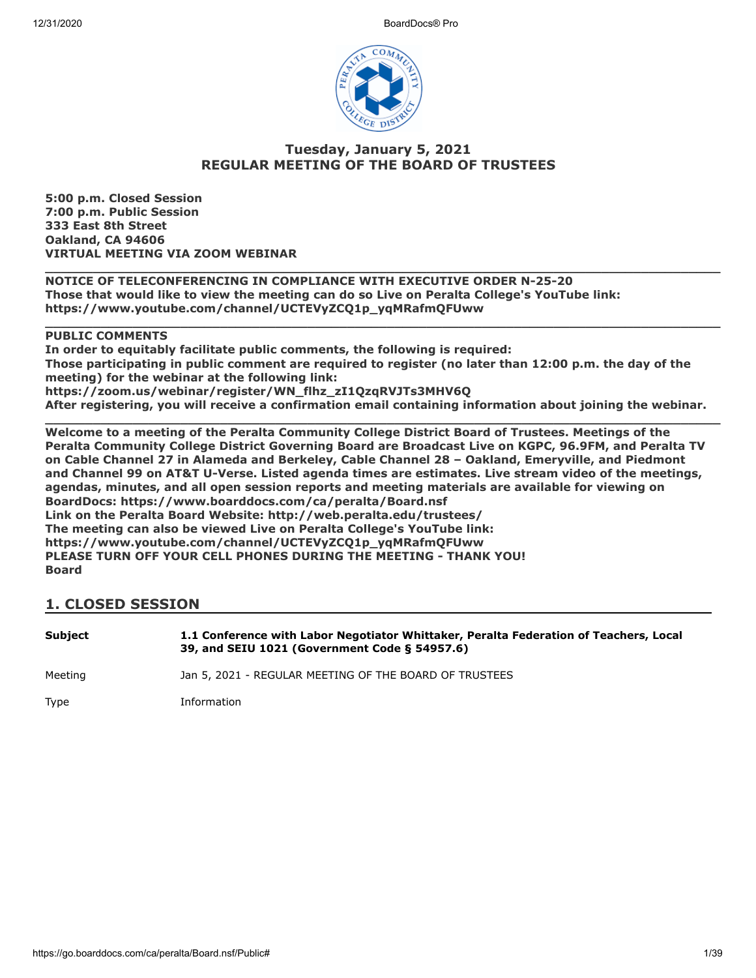

### **Tuesday, January 5, 2021 REGULAR MEETING OF THE BOARD OF TRUSTEES**

**5:00 p.m. Closed Session 7:00 p.m. Public Session 333 East 8th Street Oakland, CA 94606 VIRTUAL MEETING VIA ZOOM WEBINAR**

**\_\_\_\_\_\_\_\_\_\_\_\_\_\_\_\_\_\_\_\_\_\_\_\_\_\_\_\_\_\_\_\_\_\_\_\_\_\_\_\_\_\_\_\_\_\_\_\_\_\_\_\_\_\_\_\_\_\_\_\_\_\_\_\_\_\_\_\_\_\_\_\_\_\_\_\_\_\_\_\_\_\_\_\_\_ NOTICE OF TELECONFERENCING IN COMPLIANCE WITH EXECUTIVE ORDER N-25-20 Those that would like to view the meeting can do so Live on Peralta College's YouTube link: https://www.youtube.com/channel/UCTEVyZCQ1p\_yqMRafmQFUww**

**\_\_\_\_\_\_\_\_\_\_\_\_\_\_\_\_\_\_\_\_\_\_\_\_\_\_\_\_\_\_\_\_\_\_\_\_\_\_\_\_\_\_\_\_\_\_\_\_\_\_\_\_\_\_\_\_\_\_\_\_\_\_\_\_\_\_\_\_\_\_\_\_\_\_\_\_\_\_\_\_\_\_\_\_\_ PUBLIC COMMENTS**

**In order to equitably facilitate public comments, the following is required: Those participating in public comment are required to register (no later than 12:00 p.m. the day of the meeting) for the webinar at the following link: https://zoom.us/webinar/register/WN\_flhz\_zI1QzqRVJTs3MHV6Q After registering, you will receive a confirmation email containing information about joining the webinar.**

**\_\_\_\_\_\_\_\_\_\_\_\_\_\_\_\_\_\_\_\_\_\_\_\_\_\_\_\_\_\_\_\_\_\_\_\_\_\_\_\_\_\_\_\_\_\_\_\_\_\_\_\_\_\_\_\_\_\_\_\_\_\_\_\_\_\_\_\_\_\_\_\_\_\_\_\_\_\_\_\_\_\_\_\_\_ Welcome to a meeting of the Peralta Community College District Board of Trustees. Meetings of the Peralta Community College District Governing Board are Broadcast Live on KGPC, 96.9FM, and Peralta TV on Cable Channel 27 in Alameda and Berkeley, Cable Channel 28 – Oakland, Emeryville, and Piedmont and Channel 99 on AT&T U-Verse. Listed agenda times are estimates. Live stream video of the meetings, agendas, minutes, and all open session reports and meeting materials are available for viewing on BoardDocs: https://www.boarddocs.com/ca/peralta/Board.nsf Link on the Peralta Board Website: http://web.peralta.edu/trustees/ The meeting can also be viewed Live on Peralta College's YouTube link: https://www.youtube.com/channel/UCTEVyZCQ1p\_yqMRafmQFUww PLEASE TURN OFF YOUR CELL PHONES DURING THE MEETING - THANK YOU! Board**

### **1. CLOSED SESSION**

| Subject | 1.1 Conference with Labor Negotiator Whittaker, Peralta Federation of Teachers, Local<br>39, and SEIU 1021 (Government Code § 54957.6) |
|---------|----------------------------------------------------------------------------------------------------------------------------------------|
| Meeting | Jan 5, 2021 - REGULAR MEETING OF THE BOARD OF TRUSTEES                                                                                 |
| Type    | Information                                                                                                                            |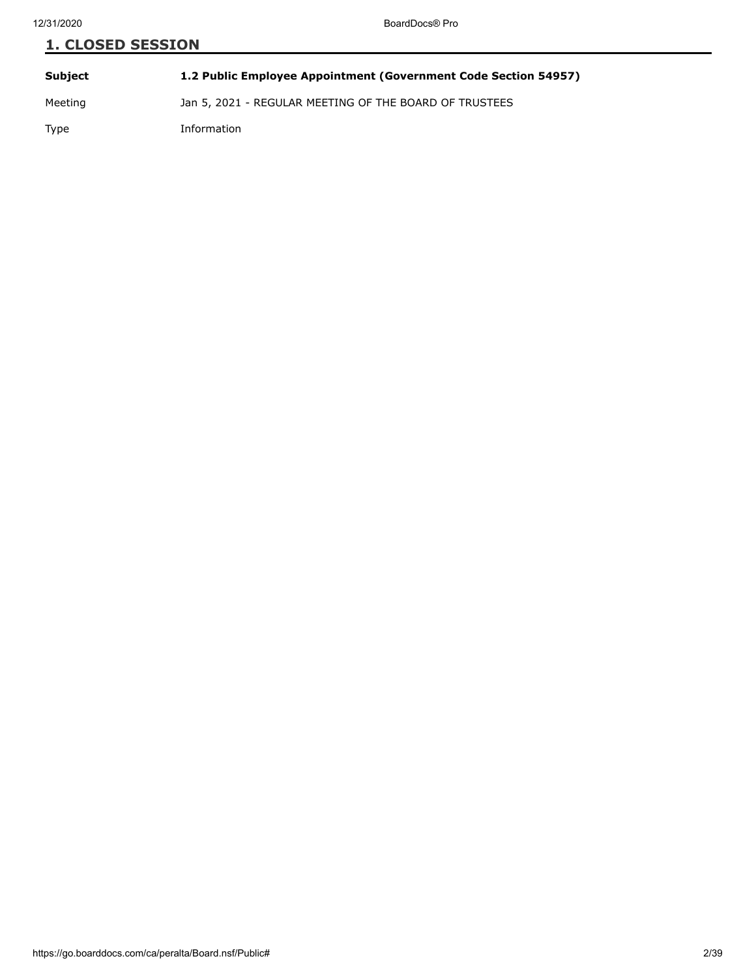| <b>1. CLOSED SESSION</b> |                                                                 |
|--------------------------|-----------------------------------------------------------------|
| <b>Subject</b>           | 1.2 Public Employee Appointment (Government Code Section 54957) |
| Meeting                  | Jan 5, 2021 - REGULAR MEETING OF THE BOARD OF TRUSTEES          |
| Type                     | Information                                                     |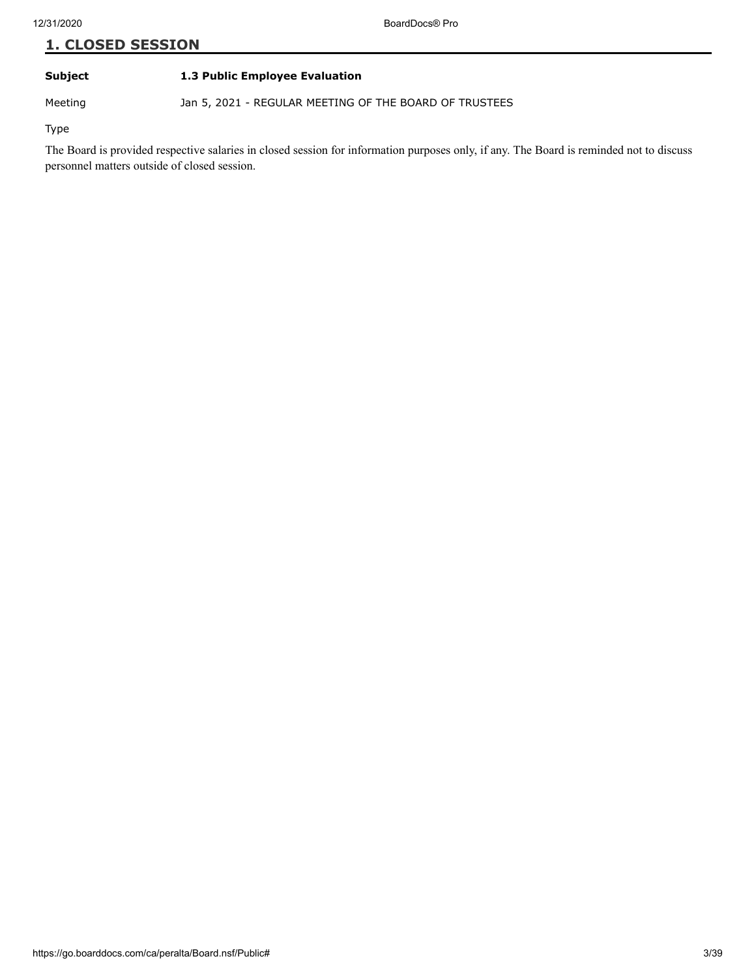### **1. CLOSED SESSION**

### **Subject 1.3 Public Employee Evaluation**

Meeting Jan 5, 2021 - REGULAR MEETING OF THE BOARD OF TRUSTEES

Type

The Board is provided respective salaries in closed session for information purposes only, if any. The Board is reminded not to discuss personnel matters outside of closed session.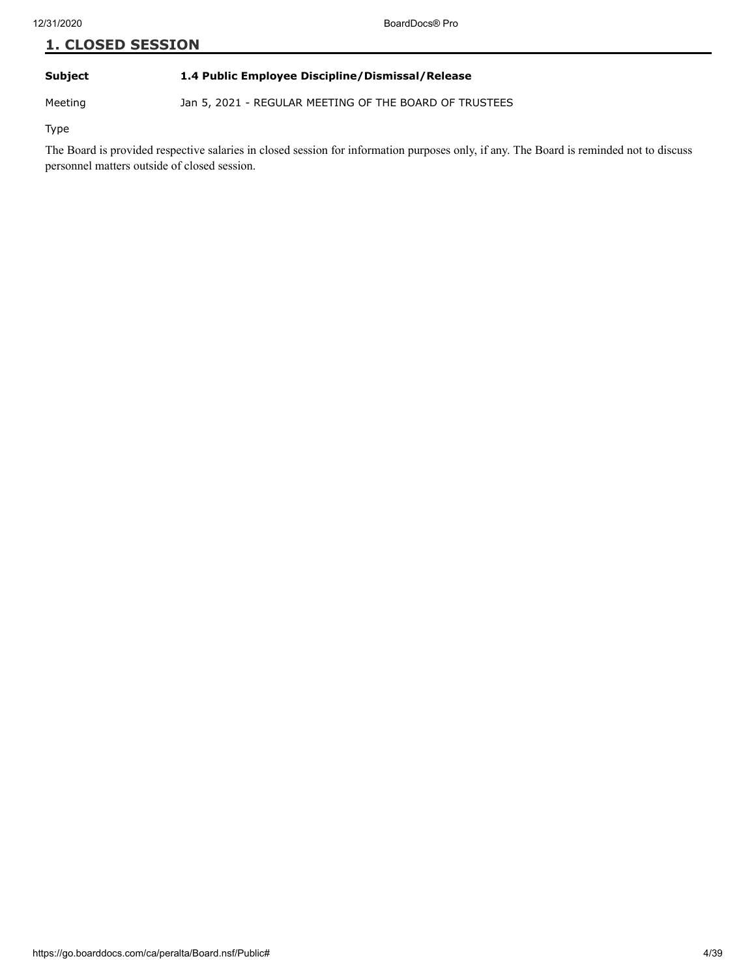### **1. CLOSED SESSION**

### **Subject 1.4 Public Employee Discipline/Dismissal/Release**

Meeting Jan 5, 2021 - REGULAR MEETING OF THE BOARD OF TRUSTEES

Type

The Board is provided respective salaries in closed session for information purposes only, if any. The Board is reminded not to discuss personnel matters outside of closed session.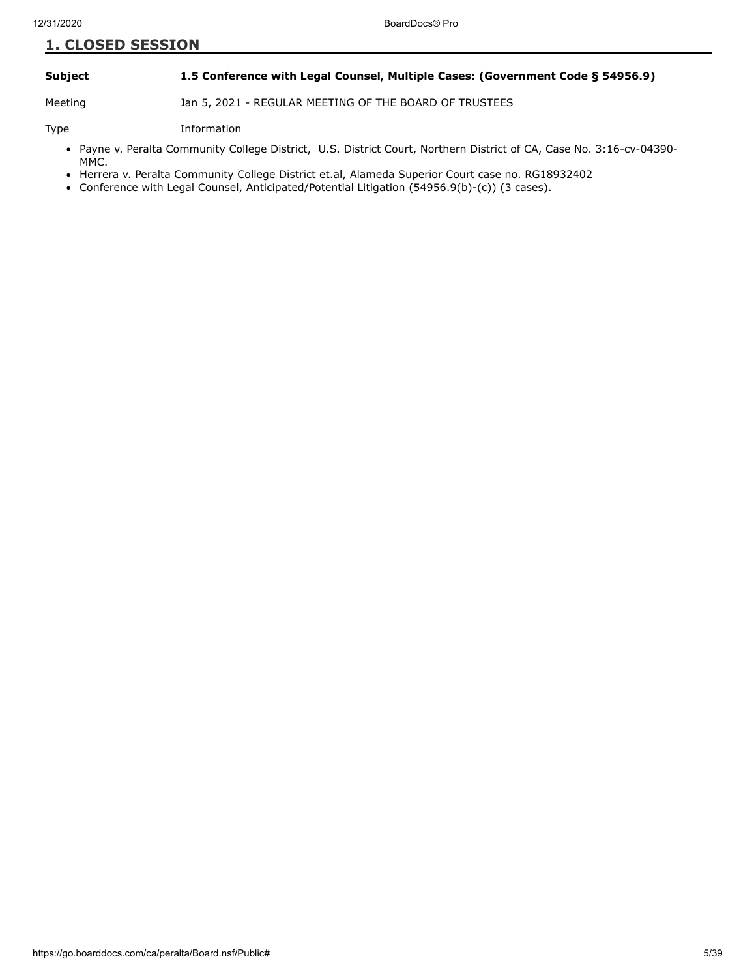### **1. CLOSED SESSION**

### **Subject 1.5 Conference with Legal Counsel, Multiple Cases: (Government Code § 54956.9)**

Meeting Jan 5, 2021 - REGULAR MEETING OF THE BOARD OF TRUSTEES

- Payne v. Peralta Community College District, U.S. District Court, Northern District of CA, Case No. 3:16-cv-04390-MMC.
- Herrera v. Peralta Community College District et.al, Alameda Superior Court case no. RG18932402
- Conference with Legal Counsel, Anticipated/Potential Litigation (54956.9(b)-(c)) (3 cases).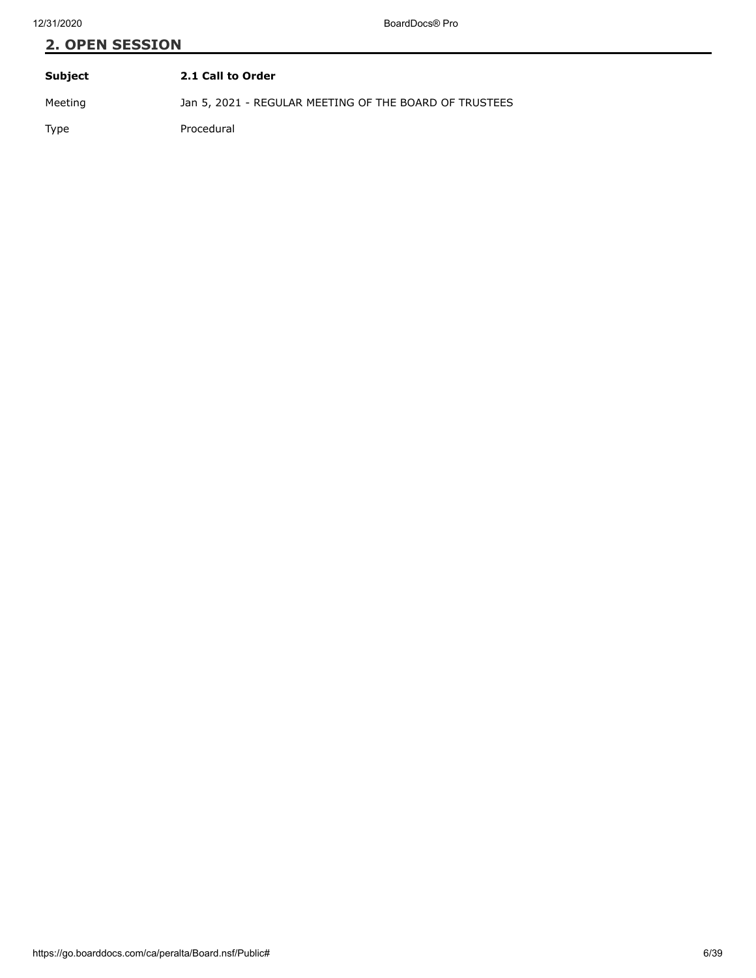**Subject 2.1 Call to Order** Meeting Jan 5, 2021 - REGULAR MEETING OF THE BOARD OF TRUSTEES Type Procedural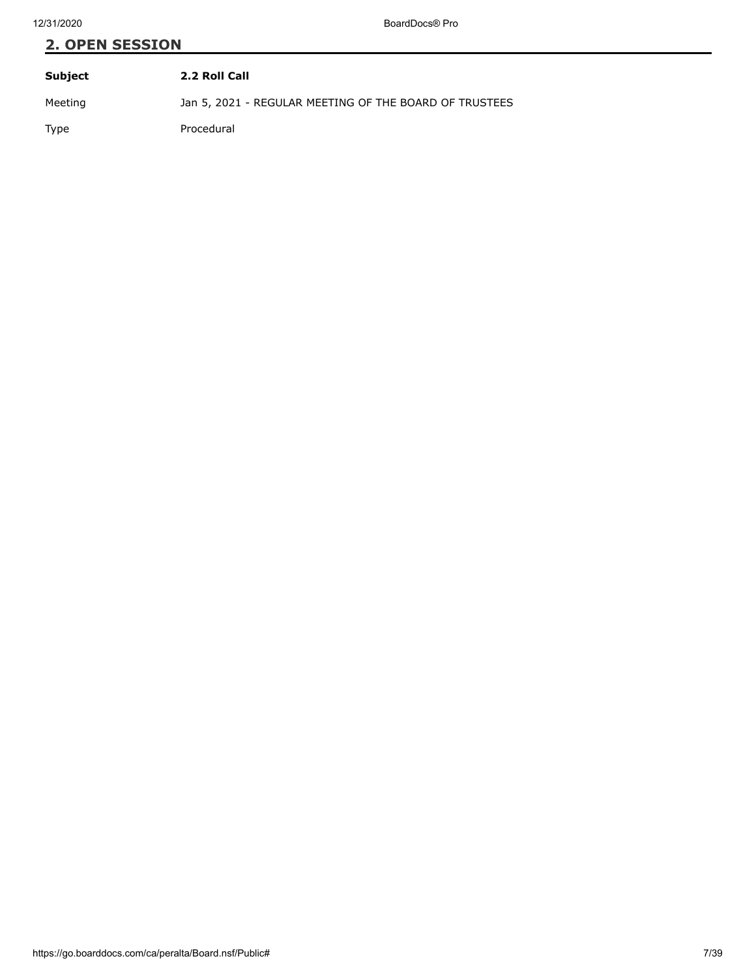| Subject     | 2.2 Roll Call                                          |
|-------------|--------------------------------------------------------|
| Meeting     | Jan 5, 2021 - REGULAR MEETING OF THE BOARD OF TRUSTEES |
| <b>Type</b> | Procedural                                             |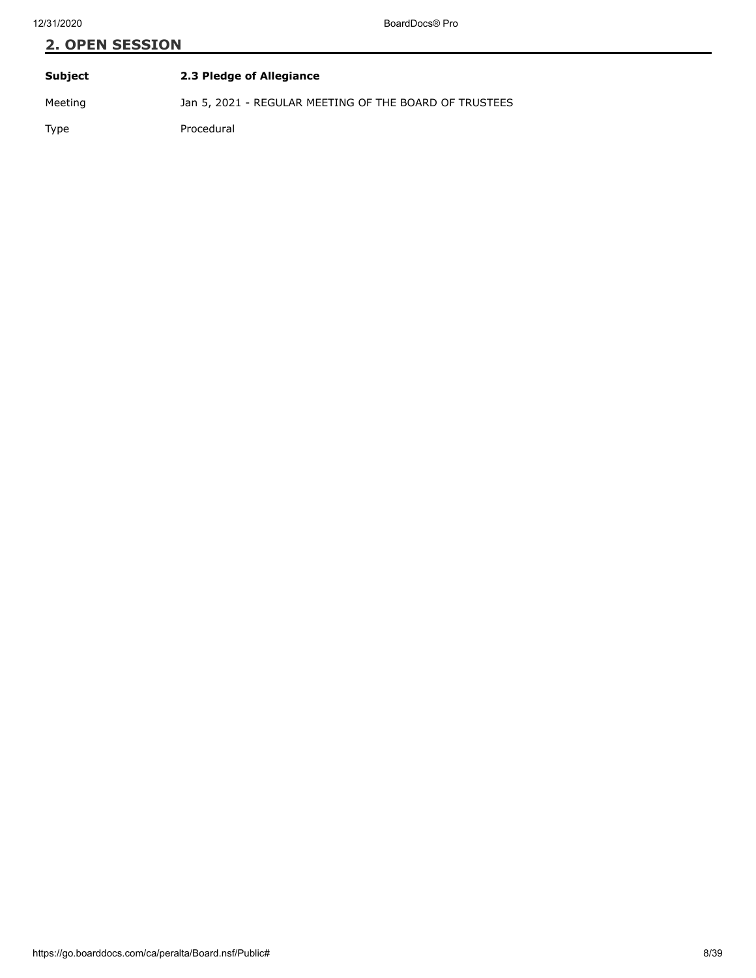| Subject | 2.3 Pledge of Allegiance                               |
|---------|--------------------------------------------------------|
| Meeting | Jan 5, 2021 - REGULAR MEETING OF THE BOARD OF TRUSTEES |
| Type    | Procedural                                             |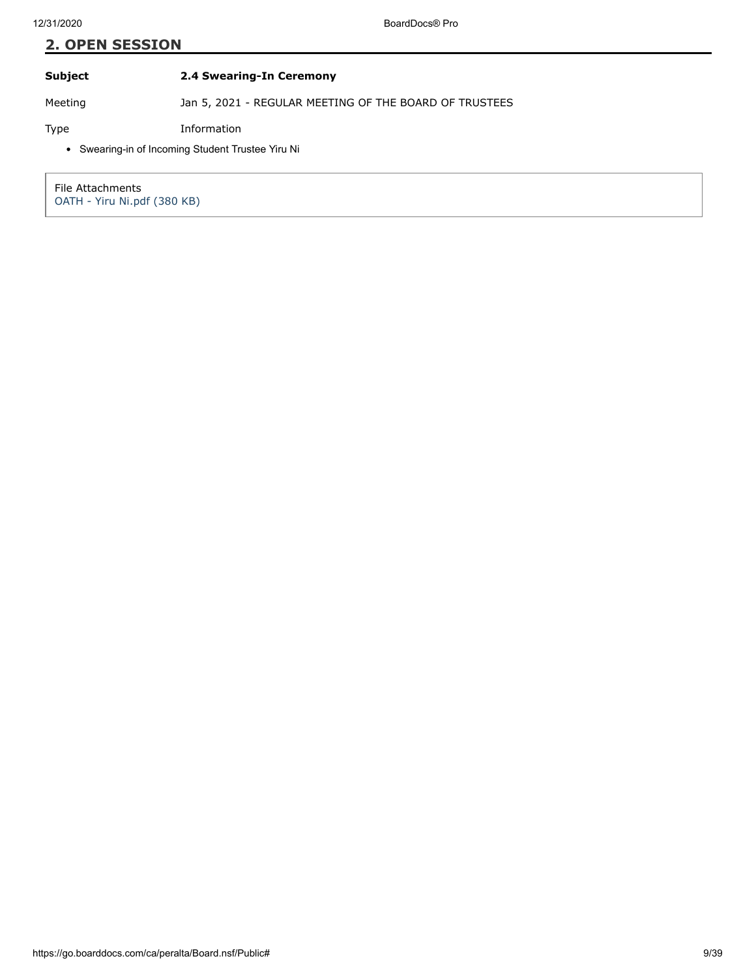### **Subject 2.4 Swearing-In Ceremony**

Meeting Jan 5, 2021 - REGULAR MEETING OF THE BOARD OF TRUSTEES

Type Information

Swearing-in of Incoming Student Trustee Yiru Ni

File Attachments [OATH - Yiru Ni.pdf \(380 KB\)](https://go.boarddocs.com/ca/peralta/Board.nsf/files/BWF4LY0C25A5/$file/OATH%20-%20Yiru%20Ni.pdf)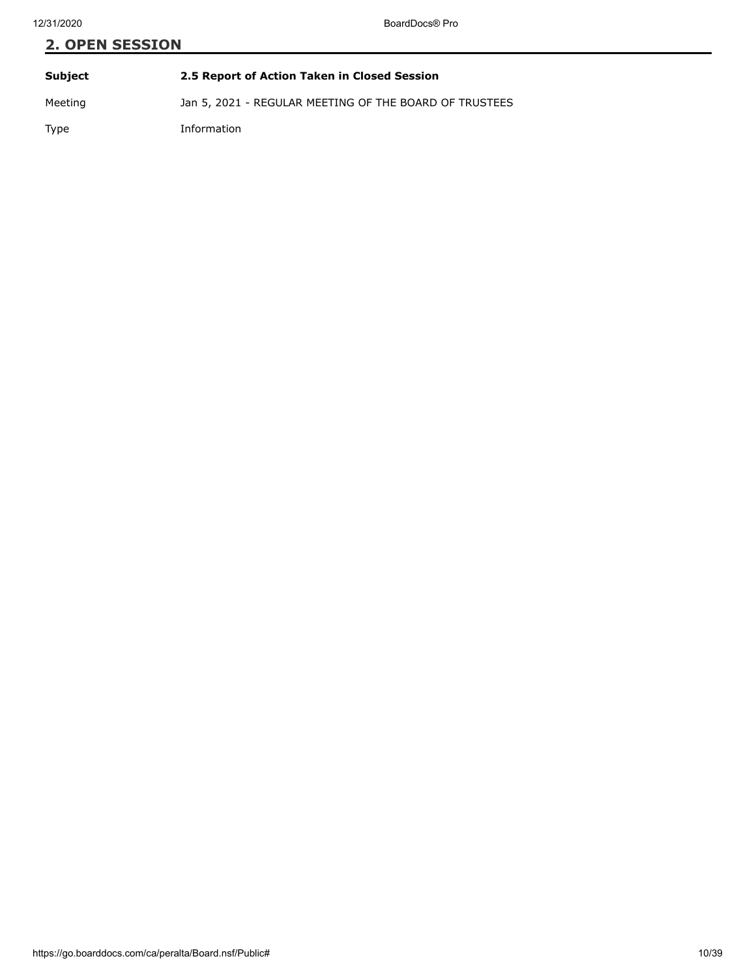## **2. OPEN SESSION Subject 2.5 Report of Action Taken in Closed Session** Meeting Jan 5, 2021 - REGULAR MEETING OF THE BOARD OF TRUSTEES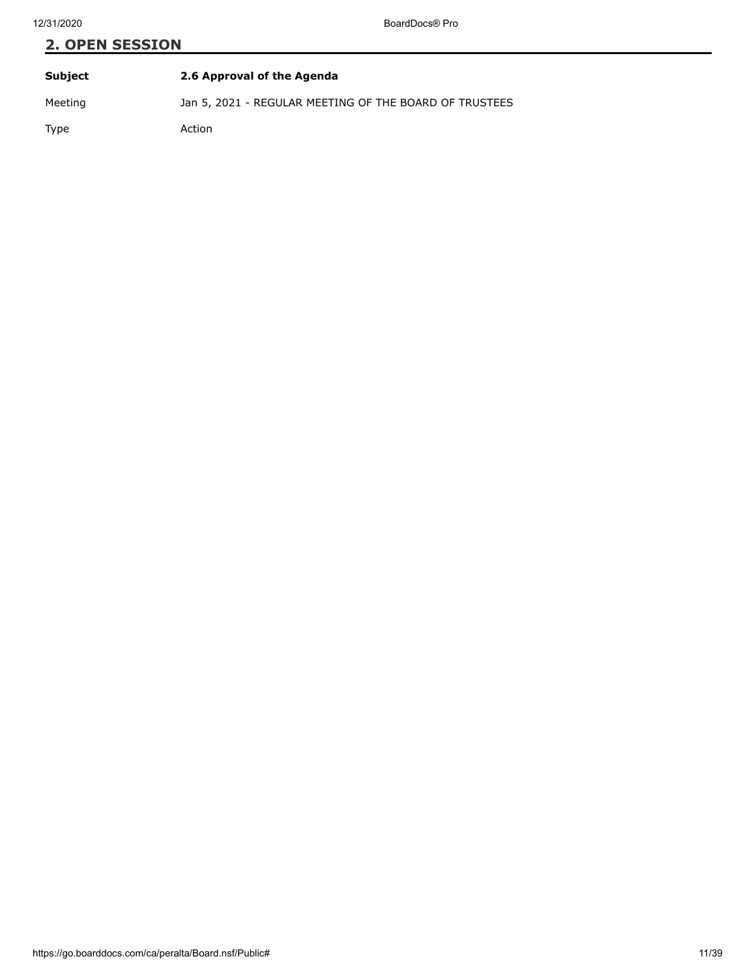| Subject | 2.6 Approval of the Agenda                             |  |  |
|---------|--------------------------------------------------------|--|--|
| Meeting | Jan 5, 2021 - REGULAR MEETING OF THE BOARD OF TRUSTEES |  |  |

Type Action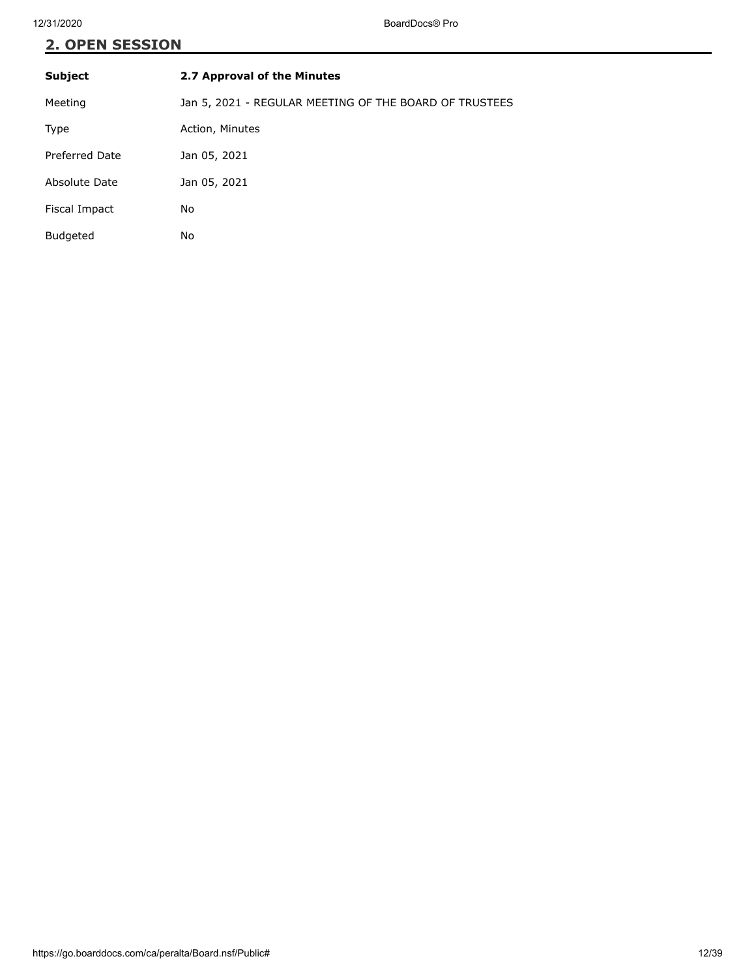| <b>Subject</b>  | 2.7 Approval of the Minutes                            |
|-----------------|--------------------------------------------------------|
| Meeting         | Jan 5, 2021 - REGULAR MEETING OF THE BOARD OF TRUSTEES |
| Type            | Action, Minutes                                        |
| Preferred Date  | Jan 05, 2021                                           |
| Absolute Date   | Jan 05, 2021                                           |
| Fiscal Impact   | No                                                     |
| <b>Budgeted</b> | No                                                     |
|                 |                                                        |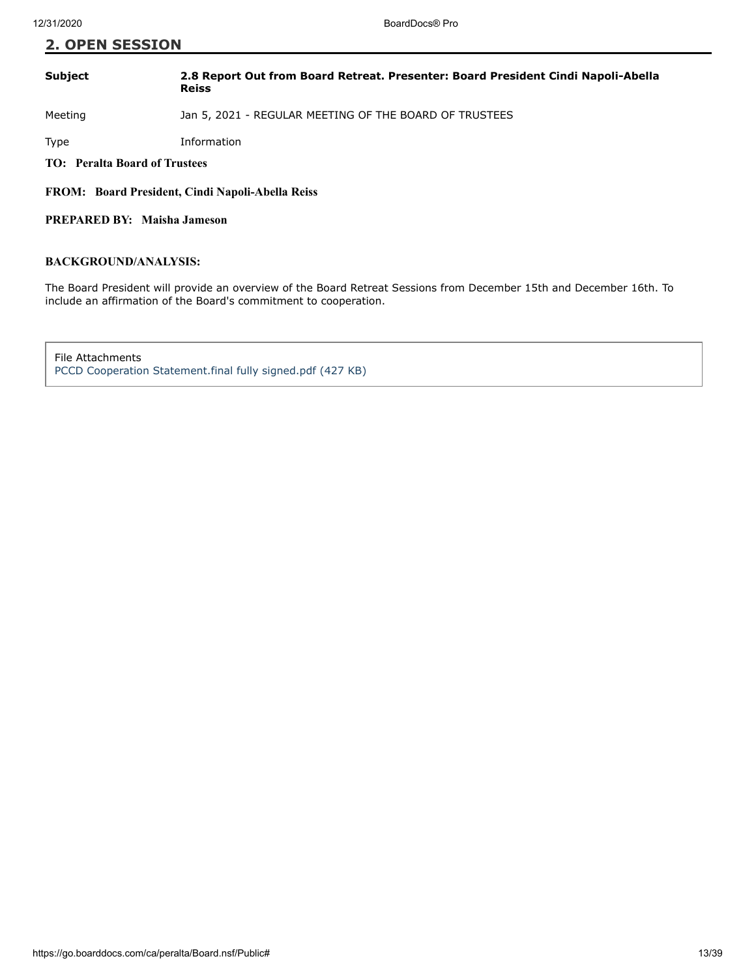### **Subject 2.8 Report Out from Board Retreat. Presenter: Board President Cindi Napoli-Abella Reiss**

### Meeting Jan 5, 2021 - REGULAR MEETING OF THE BOARD OF TRUSTEES

Type Information

**TO: Peralta Board of Trustees**

**FROM: Board President, Cindi Napoli-Abella Reiss**

**PREPARED BY: Maisha Jameson**

### **BACKGROUND/ANALYSIS:**

The Board President will provide an overview of the Board Retreat Sessions from December 15th and December 16th. To include an affirmation of the Board's commitment to cooperation.

File Attachments [PCCD Cooperation Statement.final fully signed.pdf \(427 KB\)](https://go.boarddocs.com/ca/peralta/Board.nsf/files/BWTT84761323/$file/PCCD%20Cooperation%20Statement.final%20fully%20signed.pdf)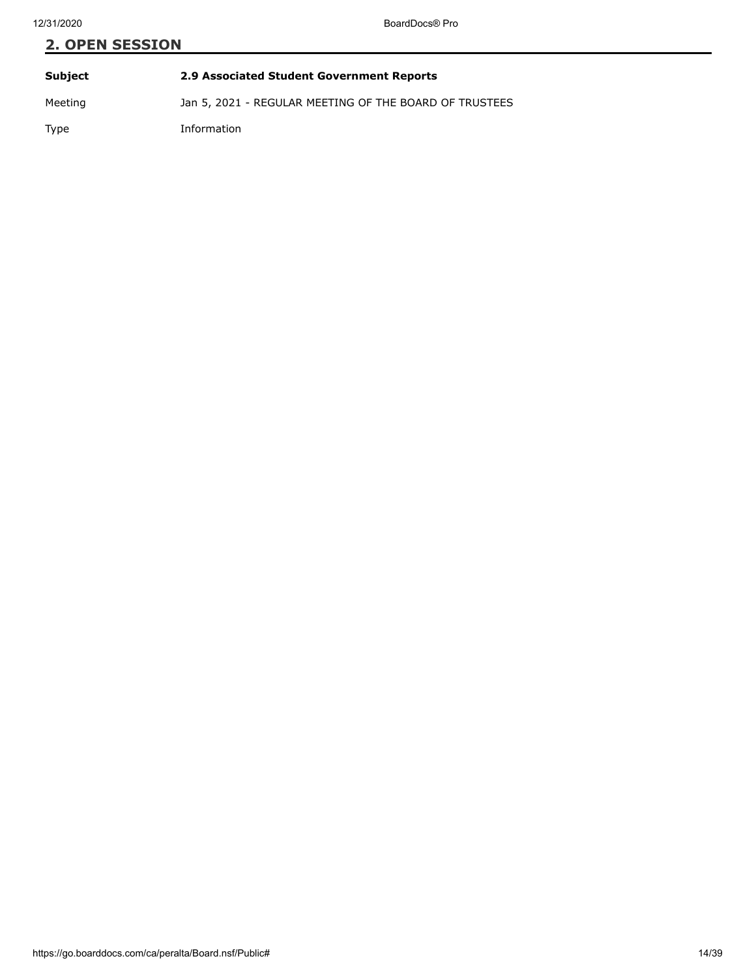## **2. OPEN SESSION Subject 2.9 Associated Student Government Reports** Meeting Jan 5, 2021 - REGULAR MEETING OF THE BOARD OF TRUSTEES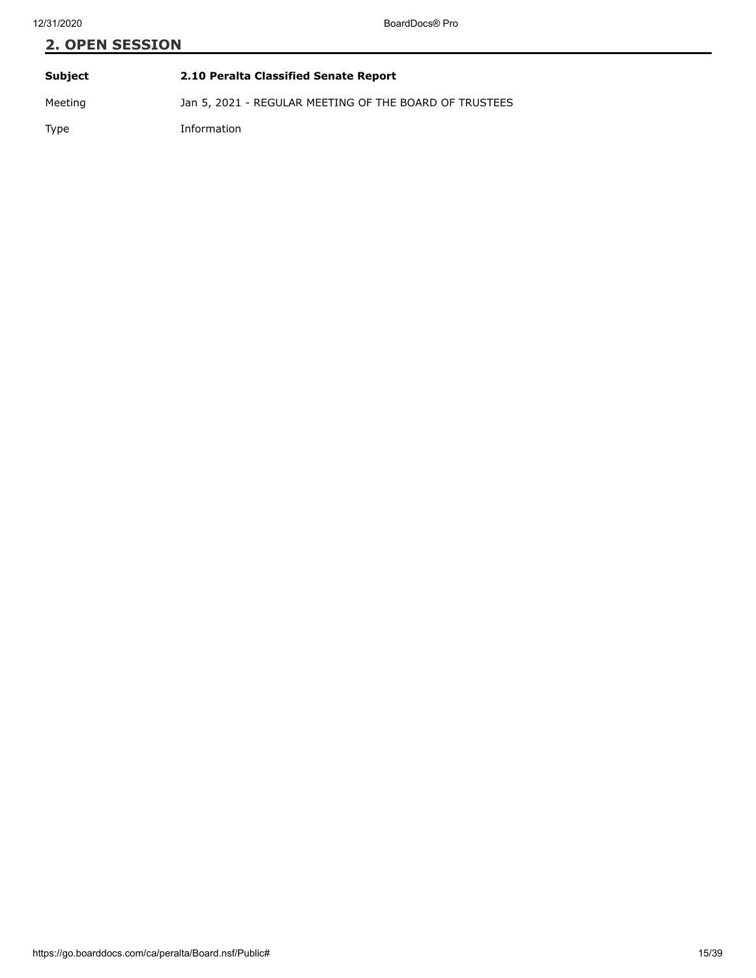## **2. OPEN SESSION Subject 2.10 Peralta Classified Senate Report**

Meeting Jan 5, 2021 - REGULAR MEETING OF THE BOARD OF TRUSTEES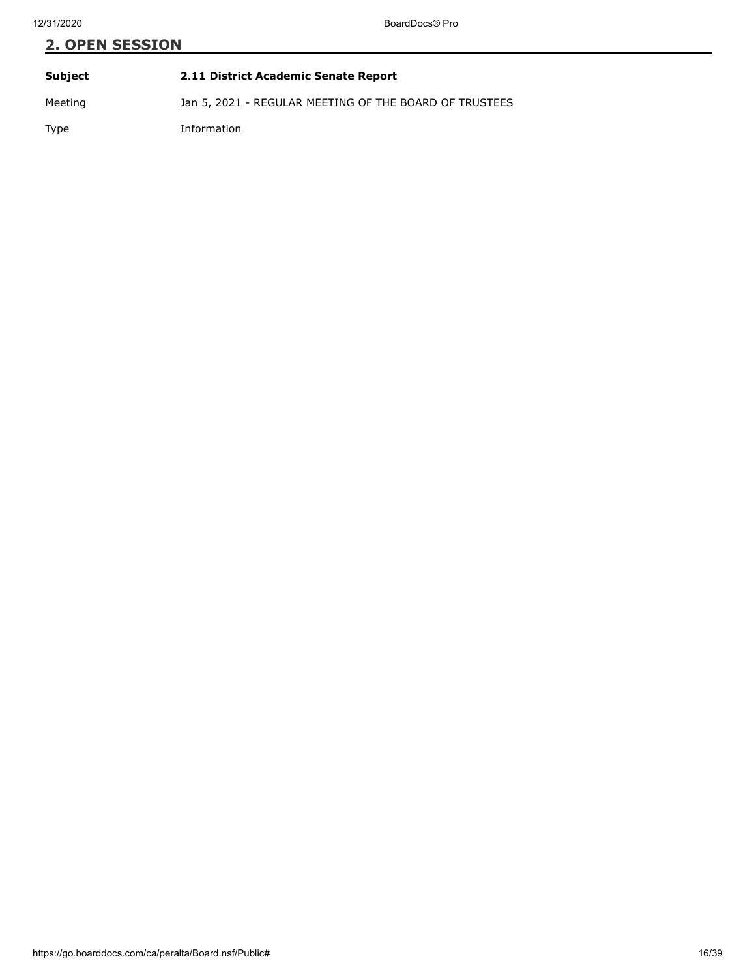## **2. OPEN SESSION Subject 2.11 District Academic Senate Report**

Meeting Jan 5, 2021 - REGULAR MEETING OF THE BOARD OF TRUSTEES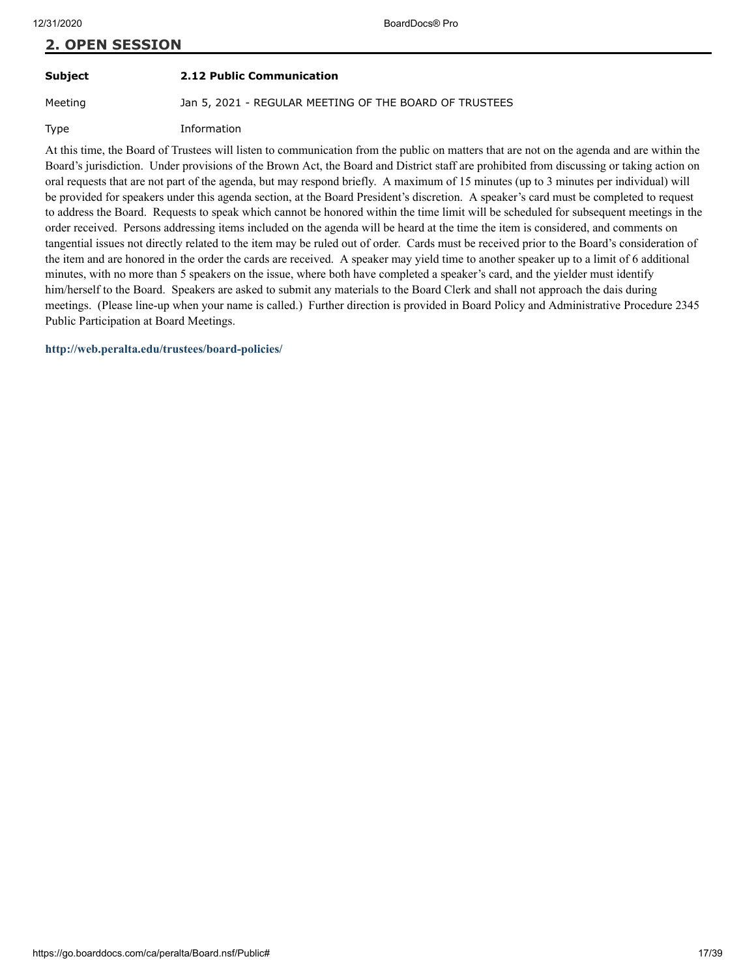**Subject 2.12 Public Communication**

Meeting Jan 5, 2021 - REGULAR MEETING OF THE BOARD OF TRUSTEES

Type Information

At this time, the Board of Trustees will listen to communication from the public on matters that are not on the agenda and are within the Board's jurisdiction. Under provisions of the Brown Act, the Board and District staff are prohibited from discussing or taking action on oral requests that are not part of the agenda, but may respond briefly. A maximum of 15 minutes (up to 3 minutes per individual) will be provided for speakers under this agenda section, at the Board President's discretion. A speaker's card must be completed to request to address the Board. Requests to speak which cannot be honored within the time limit will be scheduled for subsequent meetings in the order received. Persons addressing items included on the agenda will be heard at the time the item is considered, and comments on tangential issues not directly related to the item may be ruled out of order. Cards must be received prior to the Board's consideration of the item and are honored in the order the cards are received. A speaker may yield time to another speaker up to a limit of 6 additional minutes, with no more than 5 speakers on the issue, where both have completed a speaker's card, and the yielder must identify him/herself to the Board. Speakers are asked to submit any materials to the Board Clerk and shall not approach the dais during meetings. (Please line-up when your name is called.) Further direction is provided in Board Policy and Administrative Procedure 2345 Public Participation at Board Meetings.

**<http://web.peralta.edu/trustees/board-policies/>**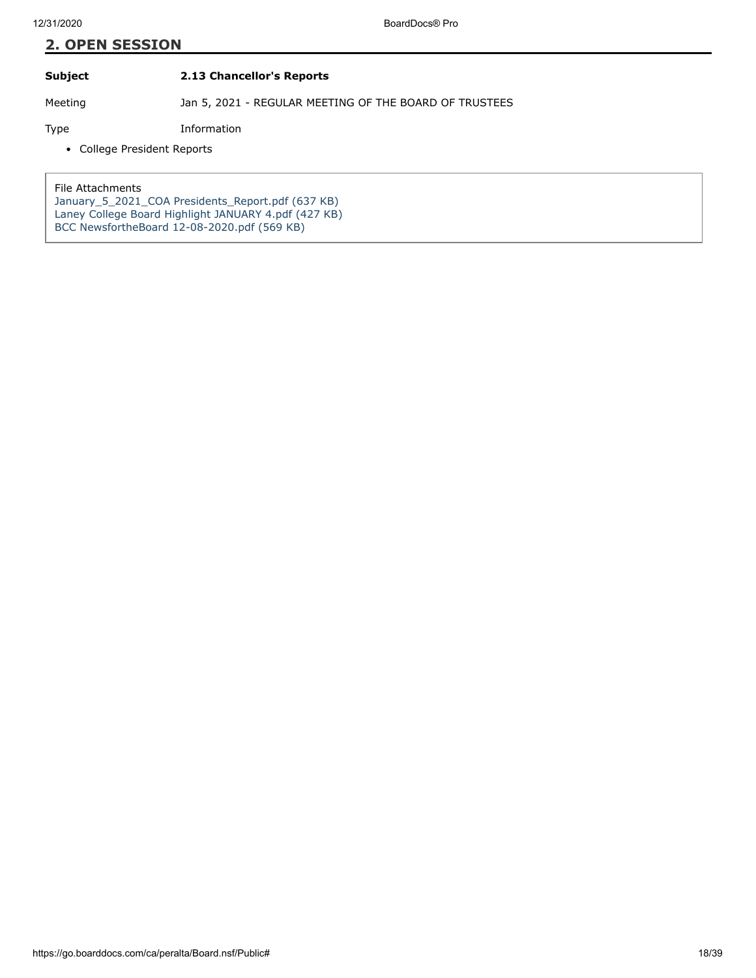**Subject 2.13 Chancellor's Reports**

Meeting Jan 5, 2021 - REGULAR MEETING OF THE BOARD OF TRUSTEES

Type Information

College President Reports

File Attachments

[January\\_5\\_2021\\_COA Presidents\\_Report.pdf \(637 KB\)](https://go.boarddocs.com/ca/peralta/Board.nsf/files/BWJ4E80B2817/$file/January_5_2021_COA%20Presidents_Report.pdf) [Laney College Board Highlight JANUARY 4.pdf \(427 KB\)](https://go.boarddocs.com/ca/peralta/Board.nsf/files/BWJ4EA0B2852/$file/Laney%20College%20Board%20Highlight%20JANUARY%204.pdf) [BCC NewsfortheBoard 12-08-2020.pdf \(569 KB\)](https://go.boarddocs.com/ca/peralta/Board.nsf/files/BWKQ5667951B/$file/BCC%20NewsfortheBoard%2012-08-2020.pdf)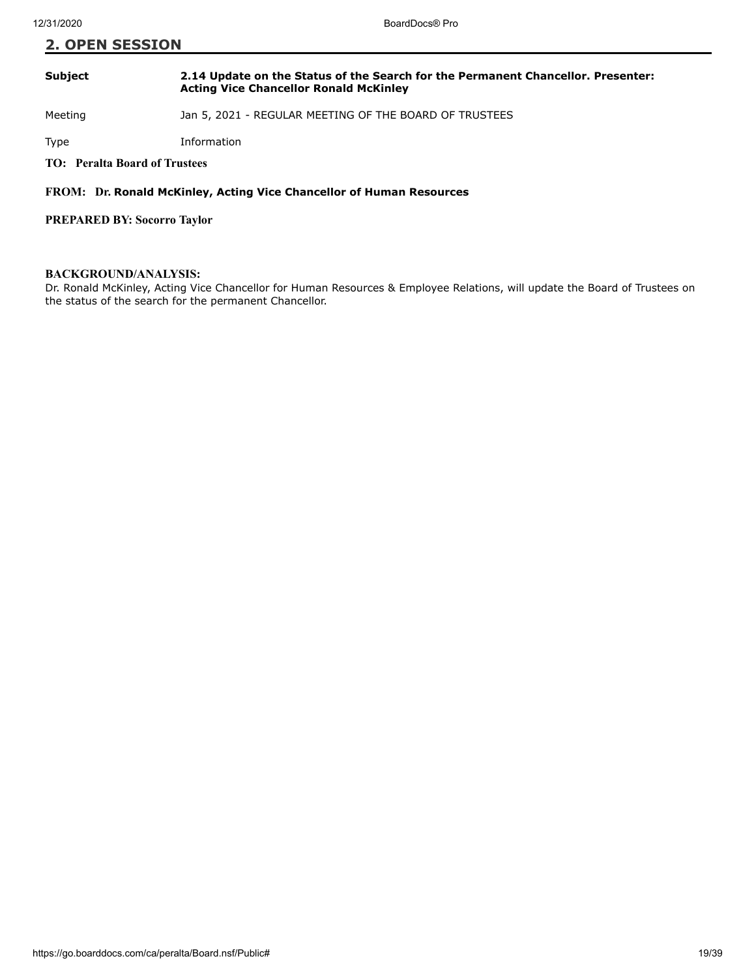### **Subject 2.14 Update on the Status of the Search for the Permanent Chancellor. Presenter: Acting Vice Chancellor Ronald McKinley**

Meeting Jan 5, 2021 - REGULAR MEETING OF THE BOARD OF TRUSTEES

Type Information

**TO: Peralta Board of Trustees**

### **FROM: Dr. Ronald McKinley, Acting Vice Chancellor of Human Resources**

**PREPARED BY: Socorro Taylor**

### **BACKGROUND/ANALYSIS:**

Dr. Ronald McKinley, Acting Vice Chancellor for Human Resources & Employee Relations, will update the Board of Trustees on the status of the search for the permanent Chancellor.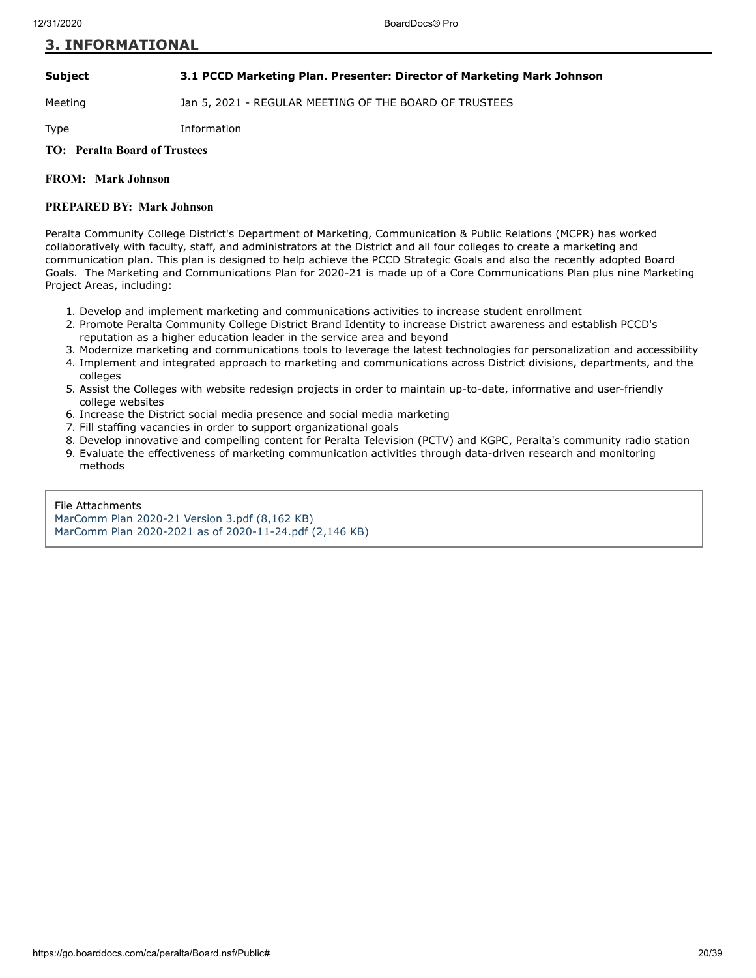### **3. INFORMATIONAL**

### **Subject 3.1 PCCD Marketing Plan. Presenter: Director of Marketing Mark Johnson**

Meeting Jan 5, 2021 - REGULAR MEETING OF THE BOARD OF TRUSTEES

Type Information

### **TO: Peralta Board of Trustees**

### **FROM: Mark Johnson**

### **PREPARED BY: Mark Johnson**

Peralta Community College District's Department of Marketing, Communication & Public Relations (MCPR) has worked collaboratively with faculty, staff, and administrators at the District and all four colleges to create a marketing and communication plan. This plan is designed to help achieve the PCCD Strategic Goals and also the recently adopted Board Goals. The Marketing and Communications Plan for 2020-21 is made up of a Core Communications Plan plus nine Marketing Project Areas, including:

- 1. Develop and implement marketing and communications activities to increase student enrollment
- 2. Promote Peralta Community College District Brand Identity to increase District awareness and establish PCCD's reputation as a higher education leader in the service area and beyond
- 3. Modernize marketing and communications tools to leverage the latest technologies for personalization and accessibility
- 4. Implement and integrated approach to marketing and communications across District divisions, departments, and the colleges
- 5. Assist the Colleges with website redesign projects in order to maintain up-to-date, informative and user-friendly college websites
- 6. Increase the District social media presence and social media marketing
- 7. Fill staffing vacancies in order to support organizational goals
- 8. Develop innovative and compelling content for Peralta Television (PCTV) and KGPC, Peralta's community radio station
- 9. Evaluate the effectiveness of marketing communication activities through data-driven research and monitoring methods

### File Attachments

[MarComm Plan 2020-21 Version 3.pdf \(8,162 KB\)](https://go.boarddocs.com/ca/peralta/Board.nsf/files/BW6SH470F2F5/$file/MarComm%20Plan%202020-21%20Version%203.pdf) [MarComm Plan 2020-2021 as of 2020-11-24.pdf \(2,146 KB\)](https://go.boarddocs.com/ca/peralta/Board.nsf/files/BW6SH670F3F1/$file/MarComm%20Plan%202020-2021%20as%20of%202020-11-24.pdf)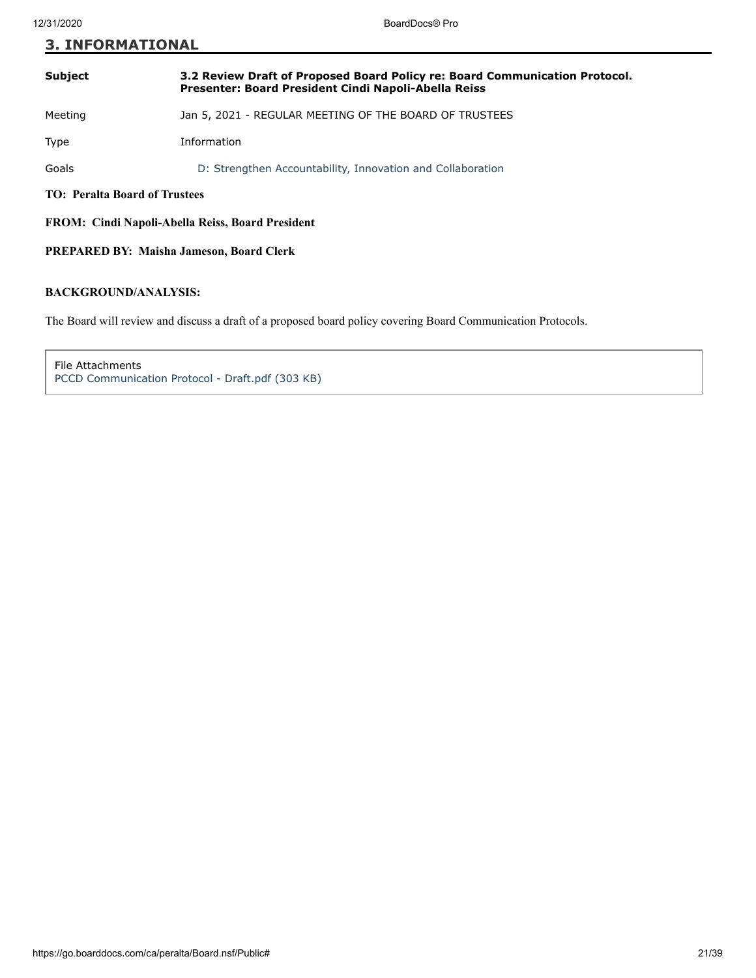| <b>Subject</b>                                   | 3.2 Review Draft of Proposed Board Policy re: Board Communication Protocol.<br>Presenter: Board President Cindi Napoli-Abella Reiss |  |
|--------------------------------------------------|-------------------------------------------------------------------------------------------------------------------------------------|--|
| Meeting                                          | Jan 5, 2021 - REGULAR MEETING OF THE BOARD OF TRUSTEES                                                                              |  |
| Type                                             | Information                                                                                                                         |  |
| Goals                                            | D: Strengthen Accountability, Innovation and Collaboration                                                                          |  |
| <b>TO: Peralta Board of Trustees</b>             |                                                                                                                                     |  |
| FROM: Cindi Napoli-Abella Reiss, Board President |                                                                                                                                     |  |
| <b>PREPARED BY: Maisha Jameson, Board Clerk</b>  |                                                                                                                                     |  |

### **BACKGROUND/ANALYSIS:**

**3. INFORMATIONAL**

The Board will review and discuss a draft of a proposed board policy covering Board Communication Protocols.

File Attachments [PCCD Communication Protocol - Draft.pdf \(303 KB\)](https://go.boarddocs.com/ca/peralta/Board.nsf/files/BWSTWC795580/$file/PCCD%20Communication%20Protocol%20-%20Draft.pdf)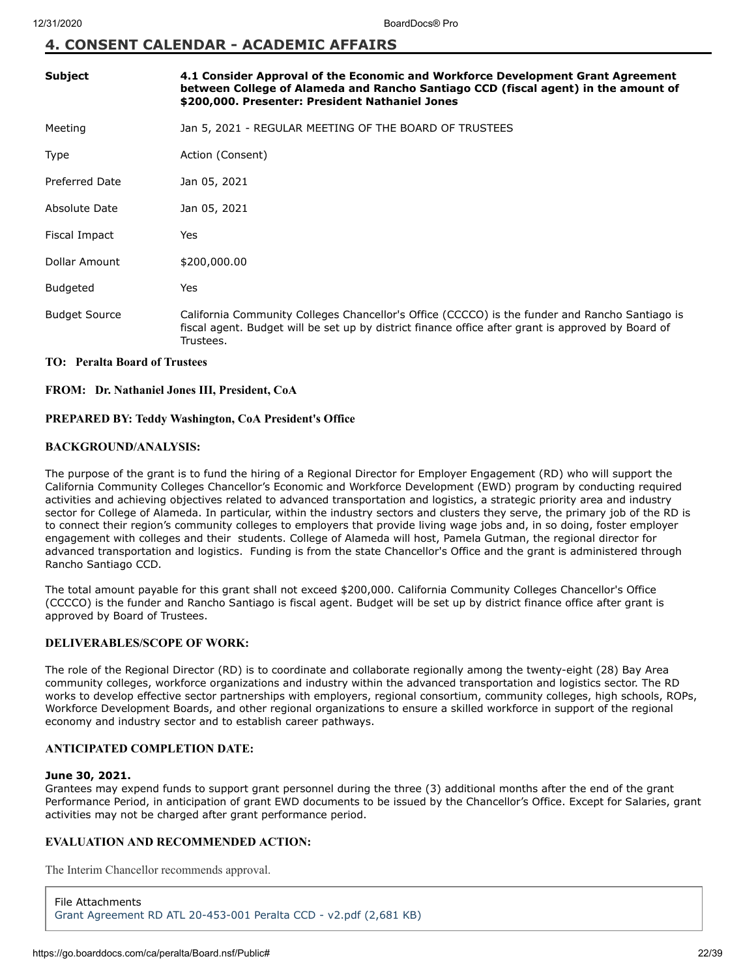### **4. CONSENT CALENDAR - ACADEMIC AFFAIRS**

| 4.1 Consider Approval of the Economic and Workforce Development Grant Agreement<br>between College of Alameda and Rancho Santiago CCD (fiscal agent) in the amount of<br>\$200,000. Presenter: President Nathaniel Jones |  |
|--------------------------------------------------------------------------------------------------------------------------------------------------------------------------------------------------------------------------|--|
| Jan 5, 2021 - REGULAR MEETING OF THE BOARD OF TRUSTEES                                                                                                                                                                   |  |
| Action (Consent)                                                                                                                                                                                                         |  |
| Jan 05, 2021                                                                                                                                                                                                             |  |
| Jan 05, 2021                                                                                                                                                                                                             |  |
| Yes                                                                                                                                                                                                                      |  |
| \$200,000.00                                                                                                                                                                                                             |  |
| Yes                                                                                                                                                                                                                      |  |
| California Community Colleges Chancellor's Office (CCCCO) is the funder and Rancho Santiago is<br>fiscal agent. Budget will be set up by district finance office after grant is approved by Board of<br>Trustees.        |  |
|                                                                                                                                                                                                                          |  |

### **TO: Peralta Board of Trustees**

### **FROM: Dr. Nathaniel Jones III, President, CoA**

### **PREPARED BY: Teddy Washington, CoA President's Office**

### **BACKGROUND/ANALYSIS:**

The purpose of the grant is to fund the hiring of a Regional Director for Employer Engagement (RD) who will support the California Community Colleges Chancellor's Economic and Workforce Development (EWD) program by conducting required activities and achieving objectives related to advanced transportation and logistics, a strategic priority area and industry sector for College of Alameda. In particular, within the industry sectors and clusters they serve, the primary job of the RD is to connect their region's community colleges to employers that provide living wage jobs and, in so doing, foster employer engagement with colleges and their students. College of Alameda will host, Pamela Gutman, the regional director for advanced transportation and logistics. Funding is from the state Chancellor's Office and the grant is administered through Rancho Santiago CCD.

The total amount payable for this grant shall not exceed \$200,000. California Community Colleges Chancellor's Office (CCCCO) is the funder and Rancho Santiago is fiscal agent. Budget will be set up by district finance office after grant is approved by Board of Trustees.

### **DELIVERABLES/SCOPE OF WORK:**

The role of the Regional Director (RD) is to coordinate and collaborate regionally among the twenty-eight (28) Bay Area community colleges, workforce organizations and industry within the advanced transportation and logistics sector. The RD works to develop effective sector partnerships with employers, regional consortium, community colleges, high schools, ROPs, Workforce Development Boards, and other regional organizations to ensure a skilled workforce in support of the regional economy and industry sector and to establish career pathways.

### **ANTICIPATED COMPLETION DATE:**

### **June 30, 2021.**

Grantees may expend funds to support grant personnel during the three (3) additional months after the end of the grant Performance Period, in anticipation of grant EWD documents to be issued by the Chancellor's Office. Except for Salaries, grant activities may not be charged after grant performance period.

### **EVALUATION AND RECOMMENDED ACTION:**

The Interim Chancellor recommends approval.

File Attachments [Grant Agreement RD ATL 20-453-001 Peralta CCD - v2.pdf \(2,681 KB\)](https://go.boarddocs.com/ca/peralta/Board.nsf/files/BWL3PY07897A/$file/Grant%20Agreement%20RD%20ATL%2020-453-001%20Peralta%20CCD%20-%20v2.pdf)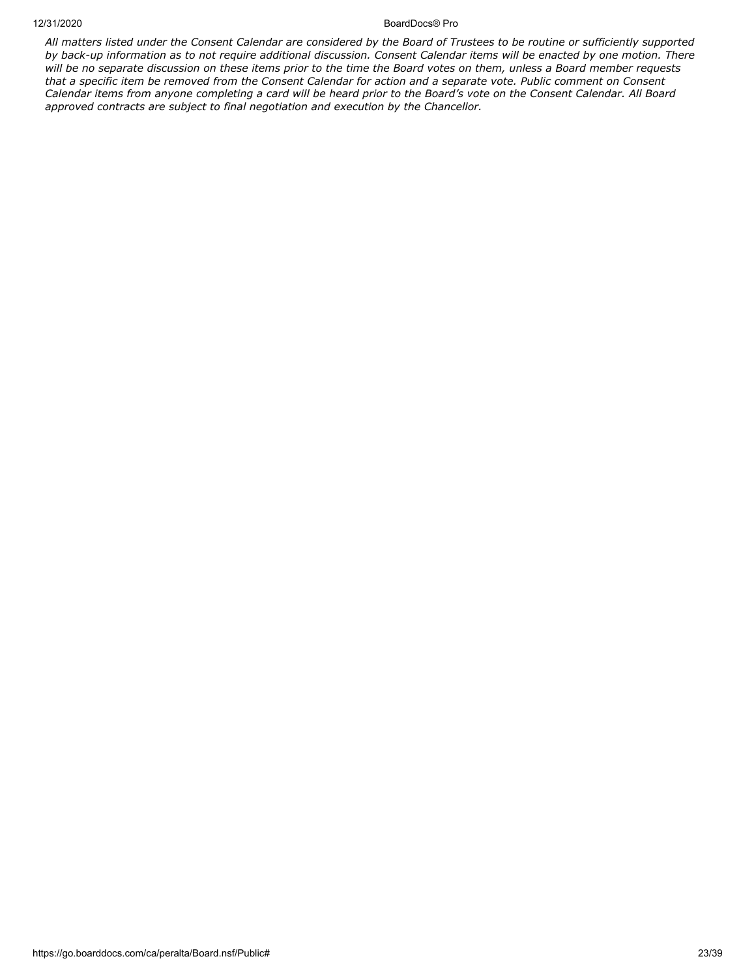### 12/31/2020 BoardDocs® Pro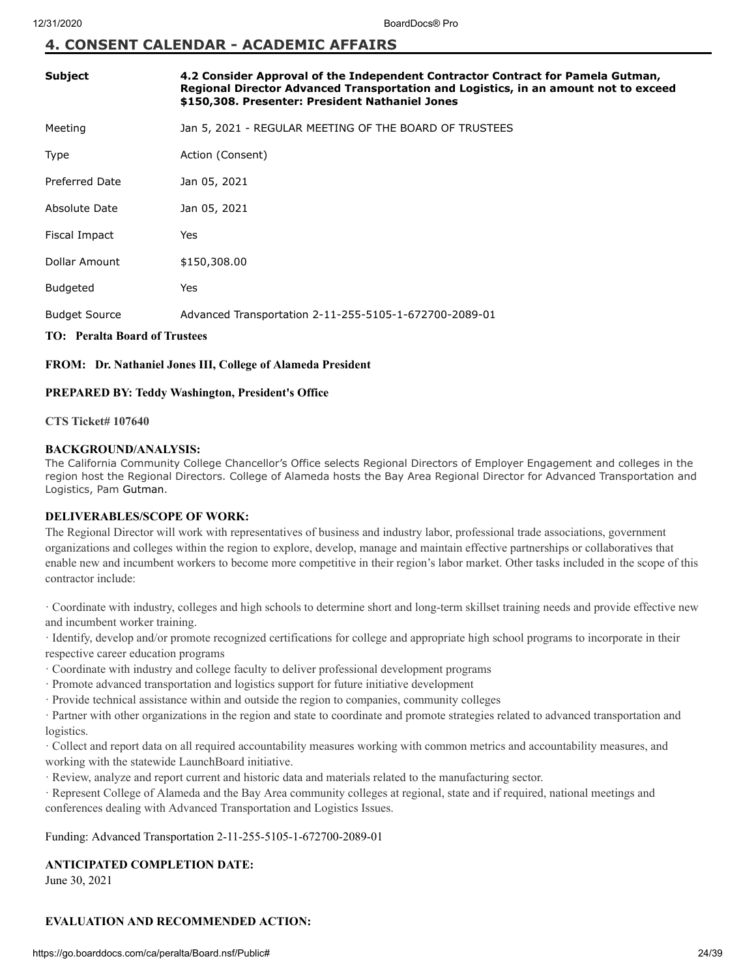### **4. CONSENT CALENDAR - ACADEMIC AFFAIRS**

| <b>Subject</b>                       | 4.2 Consider Approval of the Independent Contractor Contract for Pamela Gutman,<br>Regional Director Advanced Transportation and Logistics, in an amount not to exceed<br>\$150,308. Presenter: President Nathaniel Jones |
|--------------------------------------|---------------------------------------------------------------------------------------------------------------------------------------------------------------------------------------------------------------------------|
| Meeting                              | Jan 5, 2021 - REGULAR MEETING OF THE BOARD OF TRUSTEES                                                                                                                                                                    |
| Type                                 | Action (Consent)                                                                                                                                                                                                          |
| Preferred Date                       | Jan 05, 2021                                                                                                                                                                                                              |
| Absolute Date                        | Jan 05, 2021                                                                                                                                                                                                              |
| Fiscal Impact                        | Yes                                                                                                                                                                                                                       |
| Dollar Amount                        | \$150,308.00                                                                                                                                                                                                              |
| <b>Budgeted</b>                      | Yes                                                                                                                                                                                                                       |
| <b>Budget Source</b>                 | Advanced Transportation 2-11-255-5105-1-672700-2089-01                                                                                                                                                                    |
| <b>TO:</b> Peralta Board of Trustees |                                                                                                                                                                                                                           |

### **FROM: Dr. Nathaniel Jones III, College of Alameda President**

### **PREPARED BY: Teddy Washington, President's Office**

### **CTS Ticket# 107640**

### **BACKGROUND/ANALYSIS:**

The California Community College Chancellor's Office selects Regional Directors of Employer Engagement and colleges in the region host the Regional Directors. College of Alameda hosts the Bay Area Regional Director for Advanced Transportation and Logistics, Pam Gutman.

### **DELIVERABLES/SCOPE OF WORK:**

The Regional Director will work with representatives of business and industry labor, professional trade associations, government organizations and colleges within the region to explore, develop, manage and maintain effective partnerships or collaboratives that enable new and incumbent workers to become more competitive in their region's labor market. Other tasks included in the scope of this contractor include:

· Coordinate with industry, colleges and high schools to determine short and long-term skillset training needs and provide effective new and incumbent worker training.

· Identify, develop and/or promote recognized certifications for college and appropriate high school programs to incorporate in their respective career education programs

- · Coordinate with industry and college faculty to deliver professional development programs
- · Promote advanced transportation and logistics support for future initiative development
- · Provide technical assistance within and outside the region to companies, community colleges

· Partner with other organizations in the region and state to coordinate and promote strategies related to advanced transportation and logistics.

· Collect and report data on all required accountability measures working with common metrics and accountability measures, and working with the statewide LaunchBoard initiative.

· Review, analyze and report current and historic data and materials related to the manufacturing sector.

· Represent College of Alameda and the Bay Area community colleges at regional, state and if required, national meetings and conferences dealing with Advanced Transportation and Logistics Issues.

Funding: Advanced Transportation 2-11-255-5105-1-672700-2089-01

### **ANTICIPATED COMPLETION DATE:**

June 30, 2021

### **EVALUATION AND RECOMMENDED ACTION:**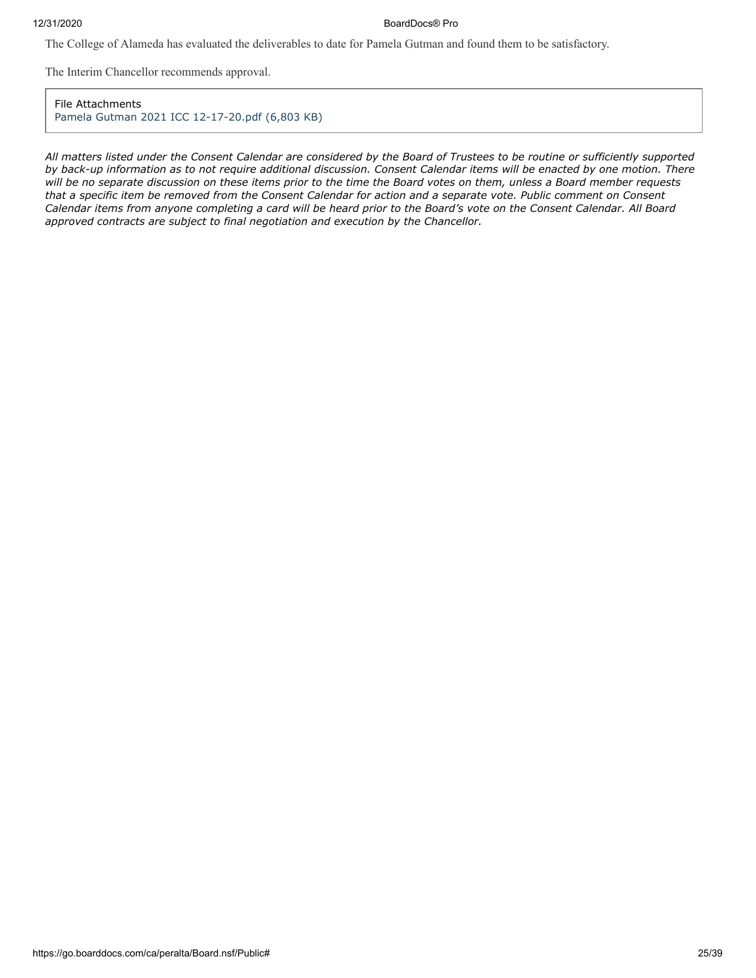### 12/31/2020 BoardDocs® Pro

The College of Alameda has evaluated the deliverables to date for Pamela Gutman and found them to be satisfactory.

The Interim Chancellor recommends approval.

File Attachments [Pamela Gutman 2021 ICC 12-17-20.pdf \(6,803 KB\)](https://go.boarddocs.com/ca/peralta/Board.nsf/files/BWJVWR82C3ED/$file/Pamela%20Gutman%202021%20ICC%2012-17-20.pdf)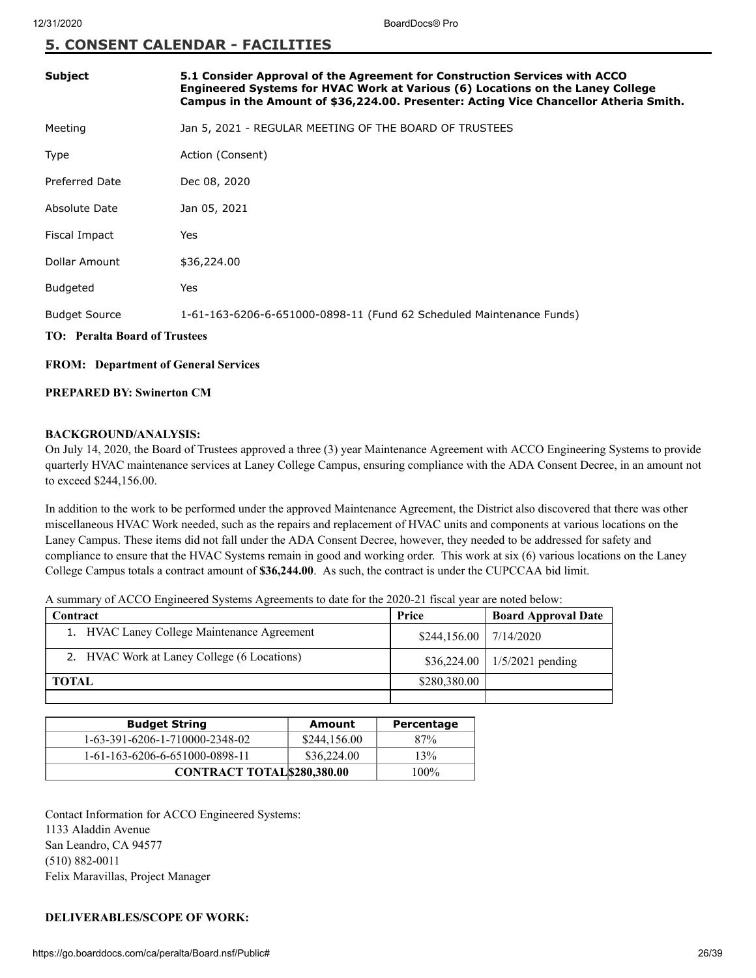### **5. CONSENT CALENDAR - FACILITIES**

| <b>Subject</b>                              | 5.1 Consider Approval of the Agreement for Construction Services with ACCO<br>Engineered Systems for HVAC Work at Various (6) Locations on the Laney College<br>Campus in the Amount of \$36,224.00. Presenter: Acting Vice Chancellor Atheria Smith. |
|---------------------------------------------|-------------------------------------------------------------------------------------------------------------------------------------------------------------------------------------------------------------------------------------------------------|
| Meeting                                     | Jan 5, 2021 - REGULAR MEETING OF THE BOARD OF TRUSTEES                                                                                                                                                                                                |
| Type                                        | Action (Consent)                                                                                                                                                                                                                                      |
| <b>Preferred Date</b>                       | Dec 08, 2020                                                                                                                                                                                                                                          |
| Absolute Date                               | Jan 05, 2021                                                                                                                                                                                                                                          |
| Fiscal Impact                               | Yes                                                                                                                                                                                                                                                   |
| Dollar Amount                               | \$36,224.00                                                                                                                                                                                                                                           |
| <b>Budgeted</b>                             | Yes                                                                                                                                                                                                                                                   |
| <b>Budget Source</b>                        | 1-61-163-6206-6-651000-0898-11 (Fund 62 Scheduled Maintenance Funds)                                                                                                                                                                                  |
| <b>TO: Peralta Board of Trustees</b>        |                                                                                                                                                                                                                                                       |
| <b>FROM:</b> Department of General Services |                                                                                                                                                                                                                                                       |

### **PREPARED BY: Swinerton CM**

### **BACKGROUND/ANALYSIS:**

On July 14, 2020, the Board of Trustees approved a three (3) year Maintenance Agreement with ACCO Engineering Systems to provide quarterly HVAC maintenance services at Laney College Campus, ensuring compliance with the ADA Consent Decree, in an amount not to exceed \$244,156.00.

In addition to the work to be performed under the approved Maintenance Agreement, the District also discovered that there was other miscellaneous HVAC Work needed, such as the repairs and replacement of HVAC units and components at various locations on the Laney Campus. These items did not fall under the ADA Consent Decree, however, they needed to be addressed for safety and compliance to ensure that the HVAC Systems remain in good and working order. This work at six (6) various locations on the Laney College Campus totals a contract amount of **\$36,244.00**. As such, the contract is under the CUPCCAA bid limit.

A summary of ACCO Engineered Systems Agreements to date for the 2020-21 fiscal year are noted below:

| Contract                                    | Price                       | <b>Board Approval Date</b>        |
|---------------------------------------------|-----------------------------|-----------------------------------|
| 1. HVAC Laney College Maintenance Agreement | $$244,156.00$   $7/14/2020$ |                                   |
| 2. HVAC Work at Laney College (6 Locations) |                             | $$36,224.00$   $1/5/2021$ pending |
| <b>TOTAL</b>                                | \$280,380.00                |                                   |
|                                             |                             |                                   |

| <b>Budget String</b>               | Amount       | Percentage |
|------------------------------------|--------------|------------|
| 1-63-391-6206-1-710000-2348-02     | \$244,156.00 | 87%        |
| 1-61-163-6206-6-651000-0898-11     | \$36,224.00  | 13%        |
| <b>CONTRACT TOTAL \$280,380.00</b> |              | $100\%$    |

Contact Information for ACCO Engineered Systems: 1133 Aladdin Avenue San Leandro, CA 94577 (510) 882-0011 Felix Maravillas, Project Manager

### **DELIVERABLES/SCOPE OF WORK:**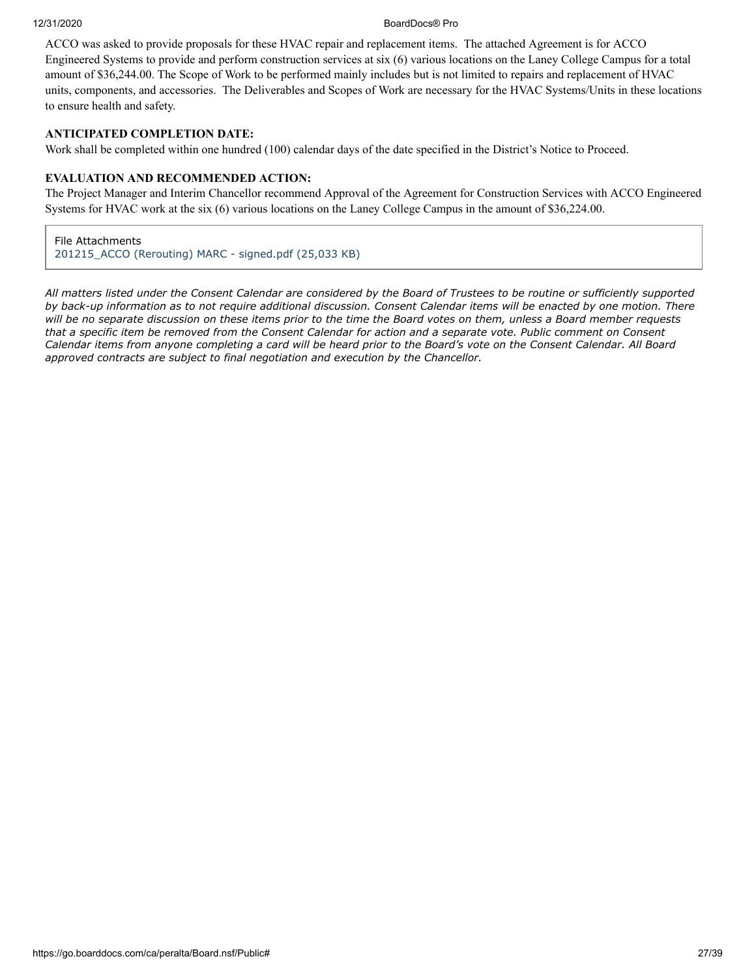### 12/31/2020 BoardDocs® Pro

ACCO was asked to provide proposals for these HVAC repair and replacement items. The attached Agreement is for ACCO Engineered Systems to provide and perform construction services at six (6) various locations on the Laney College Campus for a total amount of \$36,244.00. The Scope of Work to be performed mainly includes but is not limited to repairs and replacement of HVAC units, components, and accessories. The Deliverables and Scopes of Work are necessary for the HVAC Systems/Units in these locations to ensure health and safety.

### **ANTICIPATED COMPLETION DATE:**

Work shall be completed within one hundred (100) calendar days of the date specified in the District's Notice to Proceed.

### **EVALUATION AND RECOMMENDED ACTION:**

The Project Manager and Interim Chancellor recommend Approval of the Agreement for Construction Services with ACCO Engineered Systems for HVAC work at the six (6) various locations on the Laney College Campus in the amount of \$36,224.00.

File Attachments [201215\\_ACCO \(Rerouting\) MARC - signed.pdf \(25,033 KB\)](https://go.boarddocs.com/ca/peralta/Board.nsf/files/BWCKSU5323D3/$file/201215_ACCO%20(Rerouting)%20MARC%20-%20signed.pdf)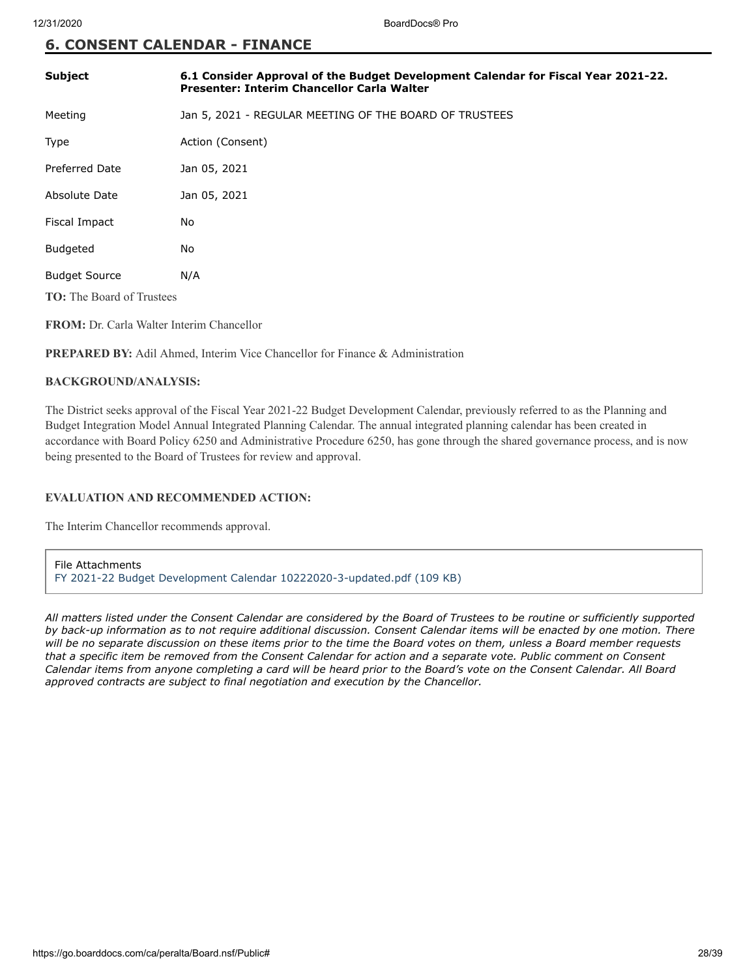### **6. CONSENT CALENDAR - FINANCE**

| <b>Subject</b>                   | 6.1 Consider Approval of the Budget Development Calendar for Fiscal Year 2021-22.<br>Presenter: Interim Chancellor Carla Walter |  |
|----------------------------------|---------------------------------------------------------------------------------------------------------------------------------|--|
| Meeting                          | Jan 5, 2021 - REGULAR MEETING OF THE BOARD OF TRUSTEES                                                                          |  |
| Type                             | Action (Consent)                                                                                                                |  |
| <b>Preferred Date</b>            | Jan 05, 2021                                                                                                                    |  |
| Absolute Date                    | Jan 05, 2021                                                                                                                    |  |
| Fiscal Impact                    | No                                                                                                                              |  |
| <b>Budgeted</b>                  | No                                                                                                                              |  |
| <b>Budget Source</b>             | N/A                                                                                                                             |  |
| <b>TO:</b> The Board of Trustees |                                                                                                                                 |  |

**FROM:** Dr. Carla Walter Interim Chancellor

**PREPARED BY:** Adil Ahmed, Interim Vice Chancellor for Finance & Administration

### **BACKGROUND/ANALYSIS:**

The District seeks approval of the Fiscal Year 2021-22 Budget Development Calendar, previously referred to as the Planning and Budget Integration Model Annual Integrated Planning Calendar. The annual integrated planning calendar has been created in accordance with Board Policy 6250 and Administrative Procedure 6250, has gone through the shared governance process, and is now being presented to the Board of Trustees for review and approval.

### **EVALUATION AND RECOMMENDED ACTION:**

The Interim Chancellor recommends approval.

File Attachments [FY 2021-22 Budget Development Calendar 10222020-3-updated.pdf \(109 KB\)](https://go.boarddocs.com/ca/peralta/Board.nsf/files/BWKRJP6E4072/$file/FY%202021-22%20Budget%20Development%20Calendar%2010222020-3-updated.pdf)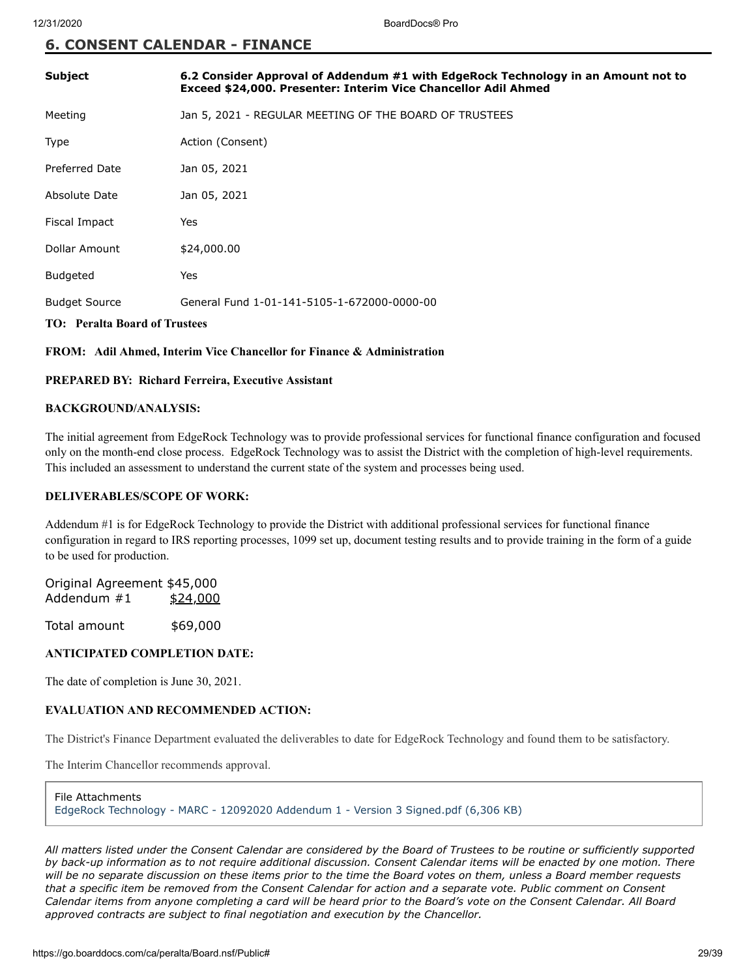### **6. CONSENT CALENDAR - FINANCE**

| <b>Subject</b>                       | 6.2 Consider Approval of Addendum #1 with EdgeRock Technology in an Amount not to<br>Exceed \$24,000. Presenter: Interim Vice Chancellor Adil Ahmed |  |
|--------------------------------------|-----------------------------------------------------------------------------------------------------------------------------------------------------|--|
| Meeting                              | Jan 5, 2021 - REGULAR MEETING OF THE BOARD OF TRUSTEES                                                                                              |  |
| Type                                 | Action (Consent)                                                                                                                                    |  |
| <b>Preferred Date</b>                | Jan 05, 2021                                                                                                                                        |  |
| Absolute Date                        | Jan 05, 2021                                                                                                                                        |  |
| Fiscal Impact                        | Yes                                                                                                                                                 |  |
| Dollar Amount                        | \$24,000.00                                                                                                                                         |  |
| <b>Budgeted</b>                      | Yes                                                                                                                                                 |  |
| <b>Budget Source</b>                 | General Fund 1-01-141-5105-1-672000-0000-00                                                                                                         |  |
| <b>TO: Peralta Board of Trustees</b> |                                                                                                                                                     |  |

### **FROM: Adil Ahmed, Interim Vice Chancellor for Finance & Administration**

### **PREPARED BY: Richard Ferreira, Executive Assistant**

### **BACKGROUND/ANALYSIS:**

The initial agreement from EdgeRock Technology was to provide professional services for functional finance configuration and focused only on the month-end close process. EdgeRock Technology was to assist the District with the completion of high-level requirements. This included an assessment to understand the current state of the system and processes being used.

### **DELIVERABLES/SCOPE OF WORK:**

Addendum #1 is for EdgeRock Technology to provide the District with additional professional services for functional finance configuration in regard to IRS reporting processes, 1099 set up, document testing results and to provide training in the form of a guide to be used for production.

Original Agreement \$45,000 Addendum  $#1$   $$24,000$ 

Total amount \$69,000

### **ANTICIPATED COMPLETION DATE:**

The date of completion is June 30, 2021.

### **EVALUATION AND RECOMMENDED ACTION:**

The District's Finance Department evaluated the deliverables to date for EdgeRock Technology and found them to be satisfactory.

The Interim Chancellor recommends approval.

```
File Attachments
EdgeRock Technology - MARC - 12092020 Addendum 1 - Version 3 Signed.pdf (6,306 KB)
```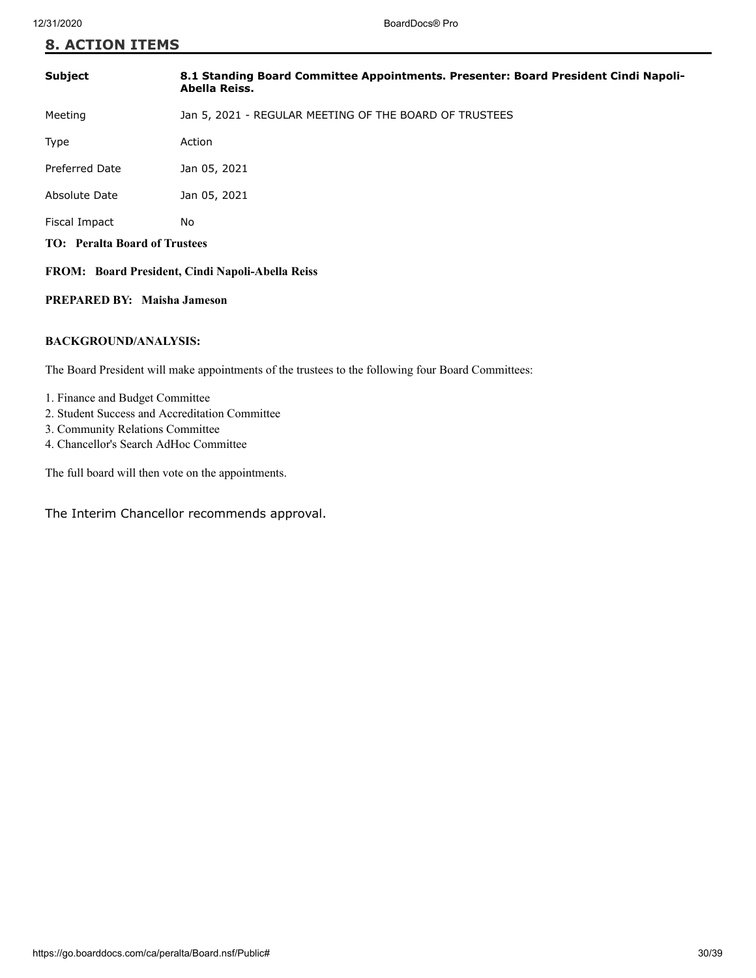### **8. ACTION ITEMS**

| <b>Subject</b>                                   | 8.1 Standing Board Committee Appointments. Presenter: Board President Cindi Napoli-<br>Abella Reiss. |  |
|--------------------------------------------------|------------------------------------------------------------------------------------------------------|--|
| Meeting                                          | Jan 5, 2021 - REGULAR MEETING OF THE BOARD OF TRUSTEES                                               |  |
| Type                                             | Action                                                                                               |  |
| Preferred Date                                   | Jan 05, 2021                                                                                         |  |
| Absolute Date                                    | Jan 05, 2021                                                                                         |  |
| Fiscal Impact                                    | No                                                                                                   |  |
| <b>TO:</b> Peralta Board of Trustees             |                                                                                                      |  |
| FROM: Board President, Cindi Napoli-Abella Reiss |                                                                                                      |  |
| <b>PREPARED BY: Maisha Jameson</b>               |                                                                                                      |  |

### **BACKGROUND/ANALYSIS:**

The Board President will make appointments of the trustees to the following four Board Committees:

- 1. Finance and Budget Committee
- 2. Student Success and Accreditation Committee
- 3. Community Relations Committee
- 4. Chancellor's Search AdHoc Committee

The full board will then vote on the appointments.

The Interim Chancellor recommends approval.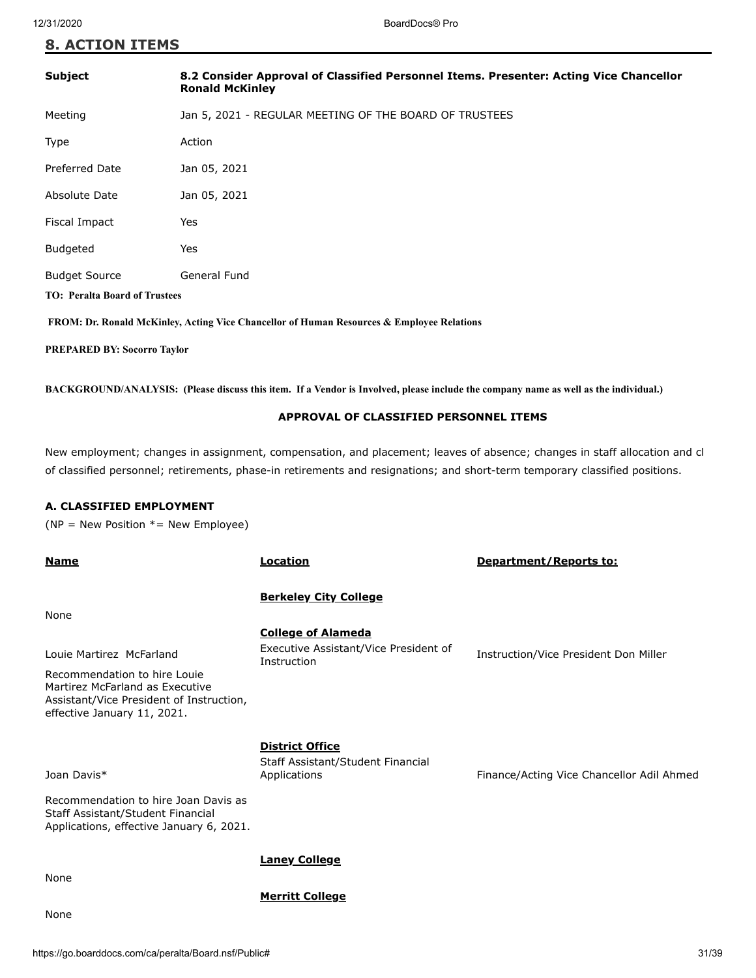### **8. ACTION ITEMS**

| <b>Subject</b>                                                                                       | 8.2 Consider Approval of Classified Personnel Items. Presenter: Acting Vice Chancellor<br><b>Ronald McKinley</b> |  |
|------------------------------------------------------------------------------------------------------|------------------------------------------------------------------------------------------------------------------|--|
| Meeting                                                                                              | Jan 5, 2021 - REGULAR MEETING OF THE BOARD OF TRUSTEES                                                           |  |
| Type                                                                                                 | Action                                                                                                           |  |
| Preferred Date                                                                                       | Jan 05, 2021                                                                                                     |  |
| Absolute Date                                                                                        | Jan 05, 2021                                                                                                     |  |
| Fiscal Impact                                                                                        | Yes                                                                                                              |  |
| <b>Budgeted</b>                                                                                      | Yes                                                                                                              |  |
| <b>Budget Source</b>                                                                                 | General Fund                                                                                                     |  |
| <b>TO: Peralta Board of Trustees</b>                                                                 |                                                                                                                  |  |
| <b>FROM: Dr. Ronald McKinley, Acting Vice Chancellor of Human Resources &amp; Employee Relations</b> |                                                                                                                  |  |

**PREPARED BY: Socorro Taylor**

**BACKGROUND/ANALYSIS: (Please discuss this item. If a Vendor is Involved, please include the company name as well as the individual.)**

### **APPROVAL OF CLASSIFIED PERSONNEL ITEMS**

New employment; changes in assignment, compensation, and placement; leaves of absence; changes in staff allocation and cl of classified personnel; retirements, phase-in retirements and resignations; and short-term temporary classified positions.

### **A. CLASSIFIED EMPLOYMENT**

( $NP = New Position * = New Empire)$ )

| <b>Name</b>                                                                                                                                | Location                                             | Department/Reports to:                    |
|--------------------------------------------------------------------------------------------------------------------------------------------|------------------------------------------------------|-------------------------------------------|
|                                                                                                                                            | <b>Berkeley City College</b>                         |                                           |
| None                                                                                                                                       |                                                      |                                           |
|                                                                                                                                            | <b>College of Alameda</b>                            |                                           |
| Louie Martirez McFarland                                                                                                                   | Executive Assistant/Vice President of<br>Instruction | Instruction/Vice President Don Miller     |
| Recommendation to hire Louie<br>Martirez McFarland as Executive<br>Assistant/Vice President of Instruction,<br>effective January 11, 2021. |                                                      |                                           |
|                                                                                                                                            | <b>District Office</b>                               |                                           |
| Joan Davis*                                                                                                                                | Staff Assistant/Student Financial<br>Applications    | Finance/Acting Vice Chancellor Adil Ahmed |
| Recommendation to hire Joan Davis as<br>Staff Assistant/Student Financial<br>Applications, effective January 6, 2021.                      |                                                      |                                           |
|                                                                                                                                            | <b>Laney College</b>                                 |                                           |
| None                                                                                                                                       |                                                      |                                           |
|                                                                                                                                            | <b>Merritt College</b>                               |                                           |
| None                                                                                                                                       |                                                      |                                           |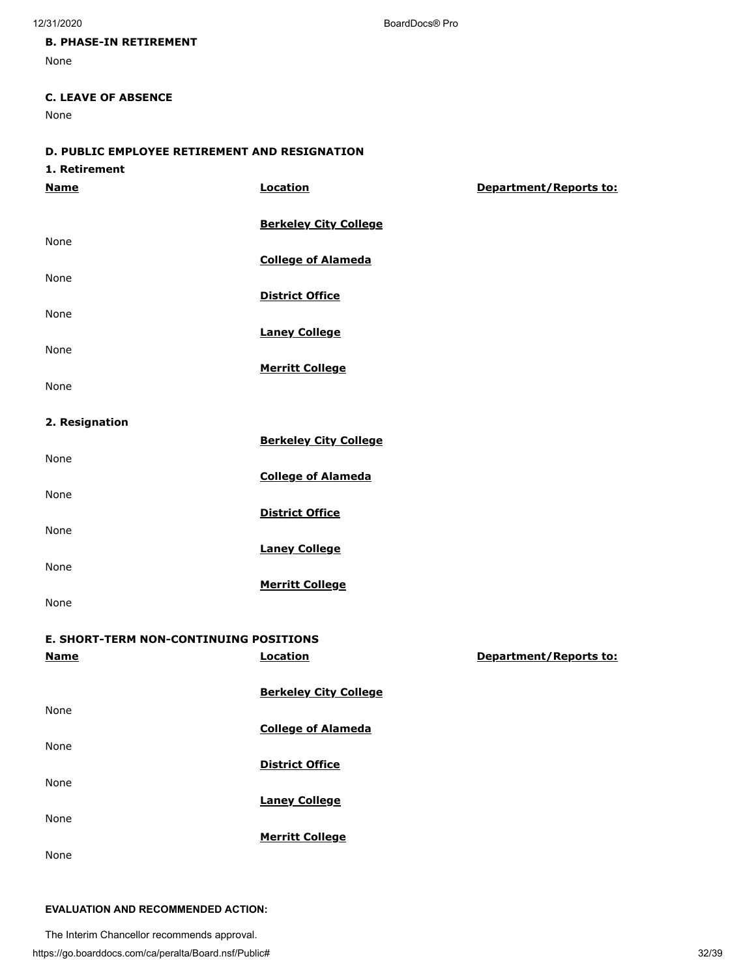### **B. PHASE-IN RETIREMENT**

None

### **C. LEAVE OF ABSENCE**

None

None

None

None

### **D. PUBLIC EMPLOYEE RETIREMENT AND RESIGNATION**

## **1. Retirement Name Department/Reports to: Location Department/Reports to: Berkeley City College** None **College of Alameda** None **District Office** None **Laney College** None **Merritt College** None **2. Resignation Berkeley City College** None **College of Alameda** None **District Office** None **Laney College** None **Merritt College** None **E. SHORT-TERM NON-CONTINUING POSITIONS Name Location Location Department/Reports to: Berkeley City College** None **College of Alameda**

**District Office** None **Laney College**

**Merritt College**

### **EVALUATION AND RECOMMENDED ACTION:**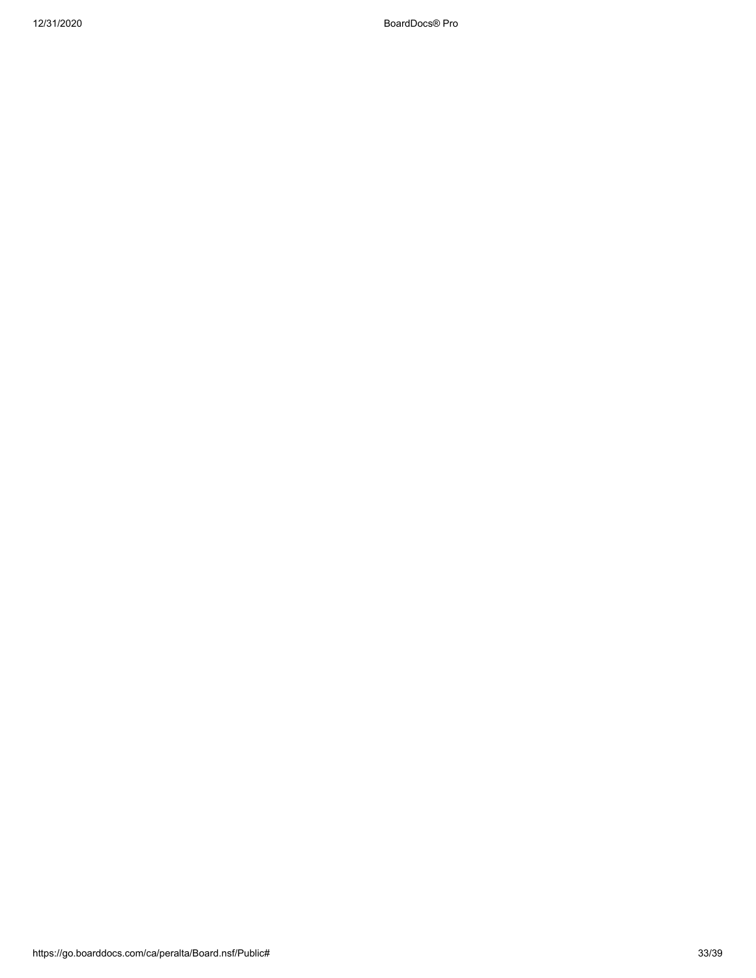12/31/2020 BoardDocs® Pro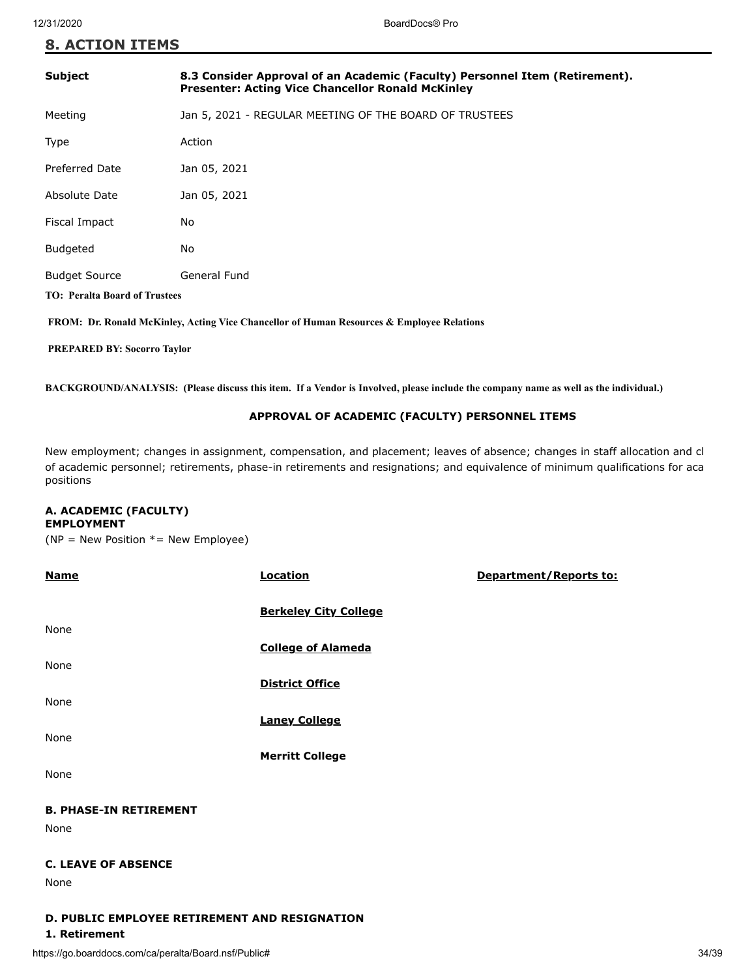| <b>8. ACTION ITEMS</b>                                                                    |                                                                                                                                         |  |
|-------------------------------------------------------------------------------------------|-----------------------------------------------------------------------------------------------------------------------------------------|--|
| <b>Subject</b>                                                                            | 8.3 Consider Approval of an Academic (Faculty) Personnel Item (Retirement).<br><b>Presenter: Acting Vice Chancellor Ronald McKinley</b> |  |
| Meeting                                                                                   | Jan 5, 2021 - REGULAR MEETING OF THE BOARD OF TRUSTEES                                                                                  |  |
| Type                                                                                      | Action                                                                                                                                  |  |
| <b>Preferred Date</b>                                                                     | Jan 05, 2021                                                                                                                            |  |
| Absolute Date                                                                             | Jan 05, 2021                                                                                                                            |  |
| Fiscal Impact                                                                             | No                                                                                                                                      |  |
| <b>Budgeted</b>                                                                           | No                                                                                                                                      |  |
| <b>Budget Source</b>                                                                      | General Fund                                                                                                                            |  |
| <b>TO: Peralta Board of Trustees</b>                                                      |                                                                                                                                         |  |
| FROM: Dr. Ronald McKinley, Acting Vice Chancellor of Human Resources & Employee Relations |                                                                                                                                         |  |

 **PREPARED BY: Socorro Taylor**

**BACKGROUND/ANALYSIS: (Please discuss this item. If a Vendor is Involved, please include the company name as well as the individual.)**

### **APPROVAL OF ACADEMIC (FACULTY) PERSONNEL ITEMS**

New employment; changes in assignment, compensation, and placement; leaves of absence; changes in staff allocation and cl of academic personnel; retirements, phase-in retirements and resignations; and equivalence of minimum qualifications for aca positions

### **A. ACADEMIC (FACULTY)**

### **EMPLOYMENT**

( $NP = New Position * = New Employee$ )

| <b>Name</b>                   | Location                     | Department/Reports to: |
|-------------------------------|------------------------------|------------------------|
|                               | <b>Berkeley City College</b> |                        |
| None                          |                              |                        |
|                               | <b>College of Alameda</b>    |                        |
| None                          |                              |                        |
|                               | <b>District Office</b>       |                        |
| None                          |                              |                        |
|                               | <b>Laney College</b>         |                        |
| None                          |                              |                        |
|                               | <b>Merritt College</b>       |                        |
| None                          |                              |                        |
|                               |                              |                        |
| <b>B. PHASE-IN RETIREMENT</b> |                              |                        |
| None                          |                              |                        |
|                               |                              |                        |

### **C. LEAVE OF ABSENCE**

None

### **D. PUBLIC EMPLOYEE RETIREMENT AND RESIGNATION**

### **1. Retirement**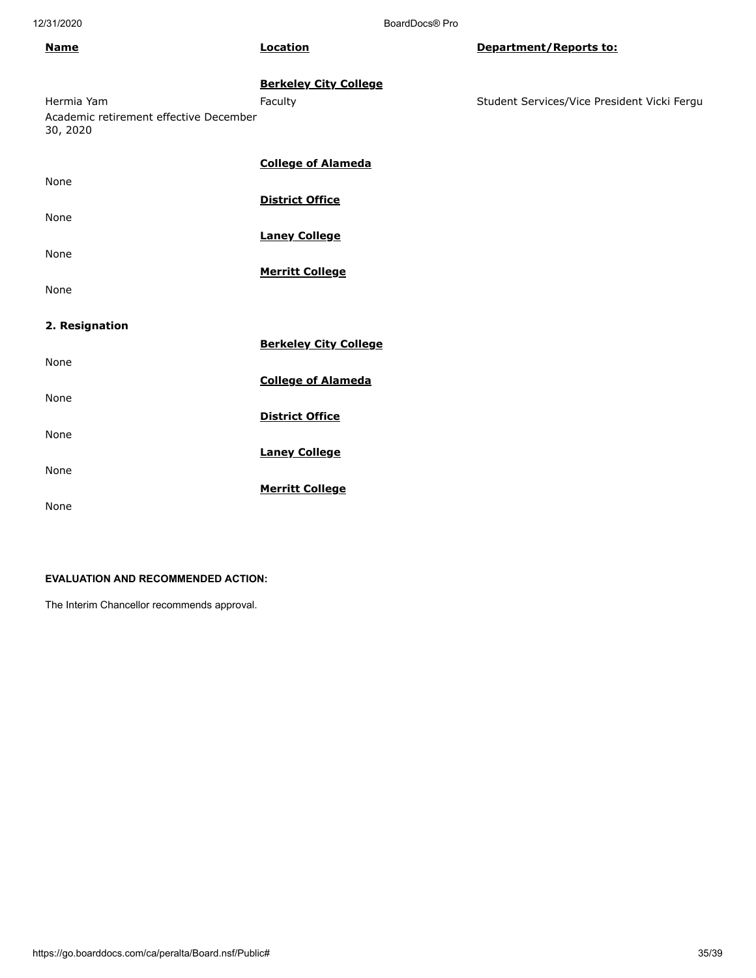12/31/2020 BoardDocs® Pro

| <b>Name</b>                                                      | <b>Location</b>                         | Department/Reports to:                      |
|------------------------------------------------------------------|-----------------------------------------|---------------------------------------------|
| Hermia Yam<br>Academic retirement effective December<br>30, 2020 | <b>Berkeley City College</b><br>Faculty | Student Services/Vice President Vicki Fergu |
|                                                                  | <b>College of Alameda</b>               |                                             |
| None<br>None                                                     | <b>District Office</b>                  |                                             |
| None                                                             | <b>Laney College</b>                    |                                             |
| None                                                             | <b>Merritt College</b>                  |                                             |
| 2. Resignation                                                   |                                         |                                             |
| None                                                             | <b>Berkeley City College</b>            |                                             |
| None                                                             | <b>College of Alameda</b>               |                                             |
| None                                                             | <b>District Office</b>                  |                                             |
| None                                                             | <b>Laney College</b>                    |                                             |
| None                                                             | <b>Merritt College</b>                  |                                             |

### **EVALUATION AND RECOMMENDED ACTION:**

The Interim Chancellor recommends approval.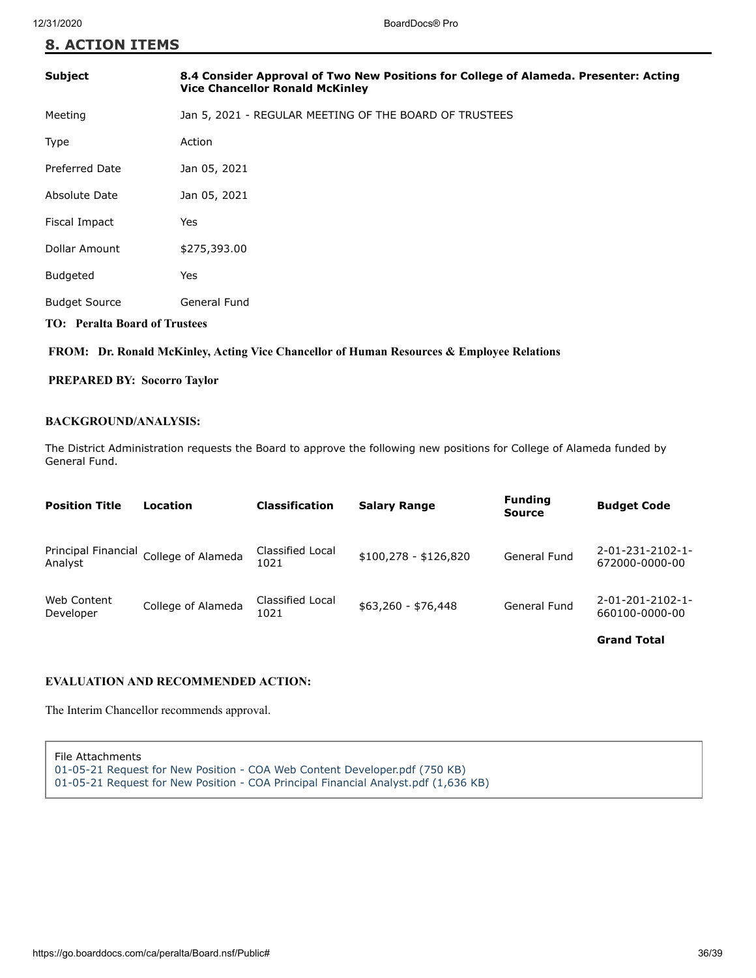# **8. ACTION ITEMS**

| <b>Subject</b>                       | 8.4 Consider Approval of Two New Positions for College of Alameda. Presenter: Acting<br><b>Vice Chancellor Ronald McKinley</b> |  |
|--------------------------------------|--------------------------------------------------------------------------------------------------------------------------------|--|
| Meeting                              | Jan 5, 2021 - REGULAR MEETING OF THE BOARD OF TRUSTEES                                                                         |  |
| Type                                 | Action                                                                                                                         |  |
| <b>Preferred Date</b>                | Jan 05, 2021                                                                                                                   |  |
| Absolute Date                        | Jan 05, 2021                                                                                                                   |  |
| Fiscal Impact                        | Yes                                                                                                                            |  |
| Dollar Amount                        | \$275,393.00                                                                                                                   |  |
| <b>Budgeted</b>                      | Yes                                                                                                                            |  |
| <b>Budget Source</b>                 | General Fund                                                                                                                   |  |
| <b>TO: Peralta Board of Trustees</b> |                                                                                                                                |  |

### **FROM: Dr. Ronald McKinley, Acting Vice Chancellor of Human Resources & Employee Relations**

### **PREPARED BY: Socorro Taylor**

### **BACKGROUND/ANALYSIS:**

The District Administration requests the Board to approve the following new positions for College of Alameda funded by General Fund.

| <b>Position Title</b>          | Location           | <b>Classification</b>    | <b>Salary Range</b>   | <b>Funding</b><br><b>Source</b> | <b>Budget Code</b>                          |
|--------------------------------|--------------------|--------------------------|-----------------------|---------------------------------|---------------------------------------------|
| Principal Financial<br>Analyst | College of Alameda | Classified Local<br>1021 | $$100,278 - $126,820$ | General Fund                    | $2 - 01 - 231 - 2102 - 1$<br>672000-0000-00 |
| Web Content<br>Developer       | College of Alameda | Classified Local<br>1021 | $$63,260 - $76,448$   | General Fund                    | $2 - 01 - 201 - 2102 - 1$<br>660100-0000-00 |
|                                |                    |                          |                       |                                 | <b>Grand Total</b>                          |

### **EVALUATION AND RECOMMENDED ACTION:**

The Interim Chancellor recommends approval.

File Attachments [01-05-21 Request for New Position - COA Web Content Developer.pdf \(750 KB\)](https://go.boarddocs.com/ca/peralta/Board.nsf/files/BW647F0A29B3/$file/01-05-21%20Request%20for%20New%20Position%20-%20COA%20Web%20Content%20Developer.pdf) [01-05-21 Request for New Position - COA Principal Financial Analyst.pdf \(1,636 KB\)](https://go.boarddocs.com/ca/peralta/Board.nsf/files/BW64N70C539F/$file/01-05-21%20Request%20for%20New%20Position%20-%20COA%20Principal%20Financial%20Analyst.pdf)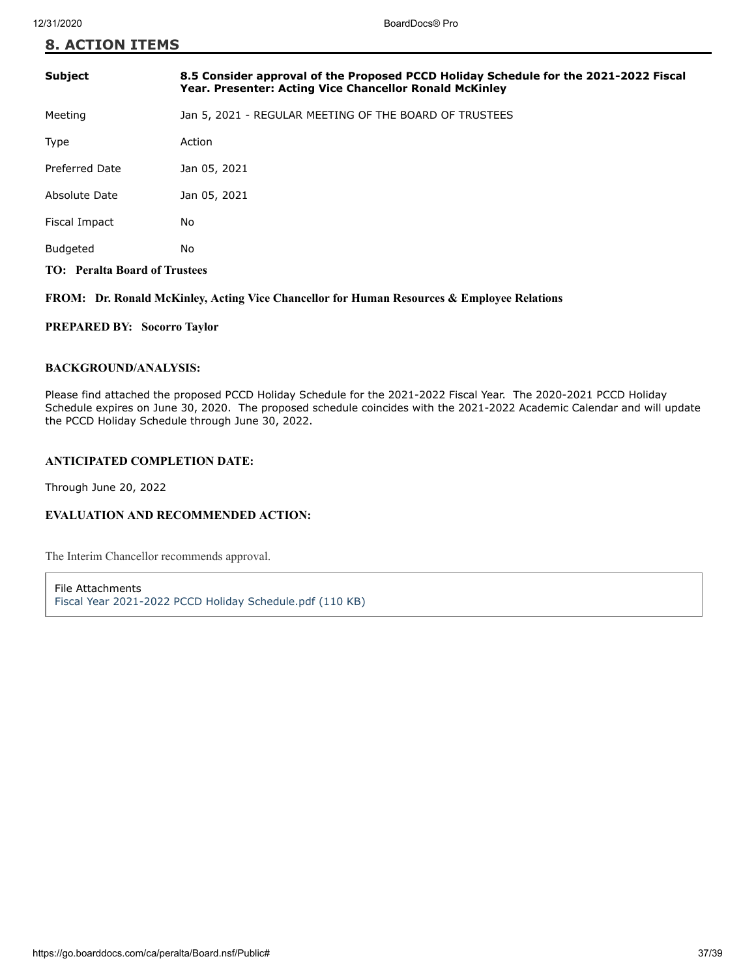| <b>8. ACTION ITEMS</b>               |                                                                                                                                                 |  |  |
|--------------------------------------|-------------------------------------------------------------------------------------------------------------------------------------------------|--|--|
| <b>Subject</b>                       | 8.5 Consider approval of the Proposed PCCD Holiday Schedule for the 2021-2022 Fiscal<br>Year. Presenter: Acting Vice Chancellor Ronald McKinley |  |  |
| Meeting                              | Jan 5, 2021 - REGULAR MEETING OF THE BOARD OF TRUSTEES                                                                                          |  |  |
| Type                                 | Action                                                                                                                                          |  |  |
| Preferred Date                       | Jan 05, 2021                                                                                                                                    |  |  |
| Absolute Date                        | Jan 05, 2021                                                                                                                                    |  |  |
| Fiscal Impact                        | No                                                                                                                                              |  |  |
| Budgeted                             | No                                                                                                                                              |  |  |
| <b>TO: Peralta Board of Trustees</b> |                                                                                                                                                 |  |  |
|                                      |                                                                                                                                                 |  |  |

**FROM: Dr. Ronald McKinley, Acting Vice Chancellor for Human Resources & Employee Relations**

**PREPARED BY: Socorro Taylor**

### **BACKGROUND/ANALYSIS:**

Please find attached the proposed PCCD Holiday Schedule for the 2021-2022 Fiscal Year. The 2020-2021 PCCD Holiday Schedule expires on June 30, 2020. The proposed schedule coincides with the 2021-2022 Academic Calendar and will update the PCCD Holiday Schedule through June 30, 2022.

### **ANTICIPATED COMPLETION DATE:**

Through June 20, 2022

### **EVALUATION AND RECOMMENDED ACTION:**

The Interim Chancellor recommends approval.

File Attachments [Fiscal Year 2021-2022 PCCD Holiday Schedule.pdf \(110 KB\)](https://go.boarddocs.com/ca/peralta/Board.nsf/files/BW64ET0B3AB2/$file/Fiscal%20%20Year%202021-2022%20PCCD%20Holiday%20Schedule.pdf)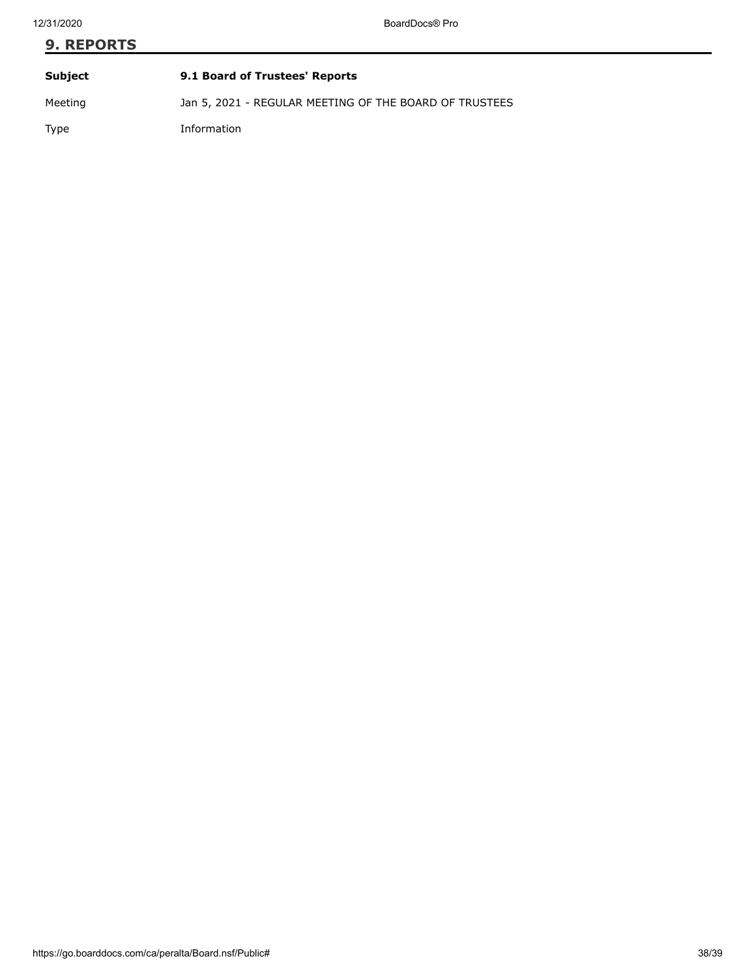## **9. REPORTS Subject 9.1 Board of Trustees' Reports** Meeting Jan 5, 2021 - REGULAR MEETING OF THE BOARD OF TRUSTEES